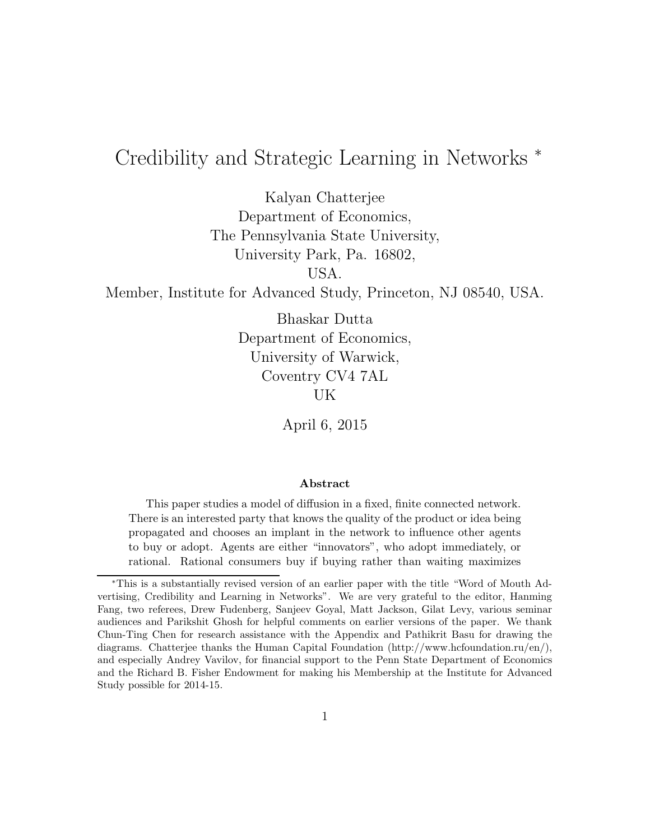# Credibility and Strategic Learning in Networks <sup>∗</sup>

Kalyan Chatterjee Department of Economics, The Pennsylvania State University, University Park, Pa. 16802,

USA.

Member, Institute for Advanced Study, Princeton, NJ 08540, USA.

Bhaskar Dutta Department of Economics, University of Warwick, Coventry CV4 7AL UK

April 6, 2015

#### Abstract

This paper studies a model of diffusion in a fixed, finite connected network. There is an interested party that knows the quality of the product or idea being propagated and chooses an implant in the network to influence other agents to buy or adopt. Agents are either "innovators", who adopt immediately, or rational. Rational consumers buy if buying rather than waiting maximizes

<sup>∗</sup>This is a substantially revised version of an earlier paper with the title "Word of Mouth Advertising, Credibility and Learning in Networks". We are very grateful to the editor, Hanming Fang, two referees, Drew Fudenberg, Sanjeev Goyal, Matt Jackson, Gilat Levy, various seminar audiences and Parikshit Ghosh for helpful comments on earlier versions of the paper. We thank Chun-Ting Chen for research assistance with the Appendix and Pathikrit Basu for drawing the diagrams. Chatterjee thanks the Human Capital Foundation (http://www.hcfoundation.ru/en/), and especially Andrey Vavilov, for financial support to the Penn State Department of Economics and the Richard B. Fisher Endowment for making his Membership at the Institute for Advanced Study possible for 2014-15.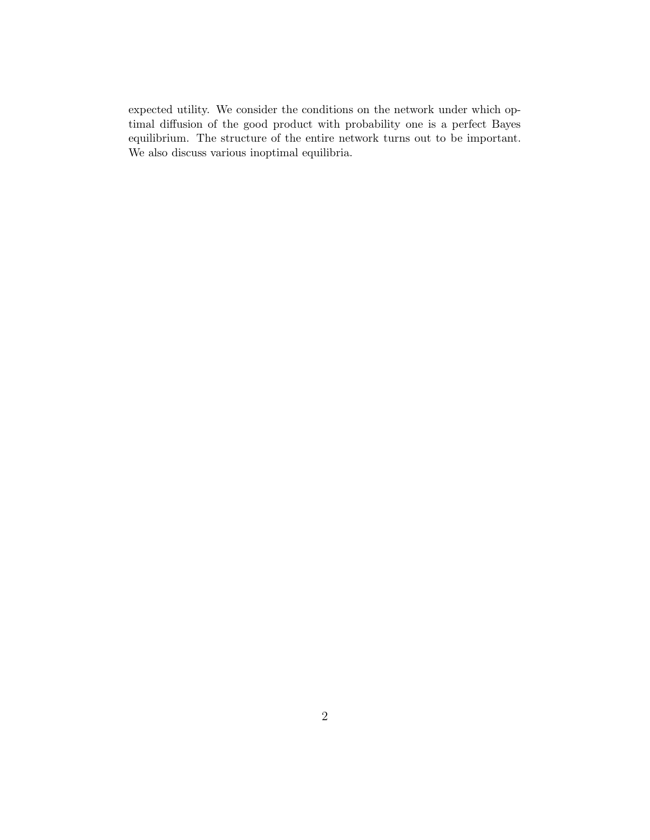expected utility. We consider the conditions on the network under which optimal diffusion of the good product with probability one is a perfect Bayes equilibrium. The structure of the entire network turns out to be important. We also discuss various inoptimal equilibria.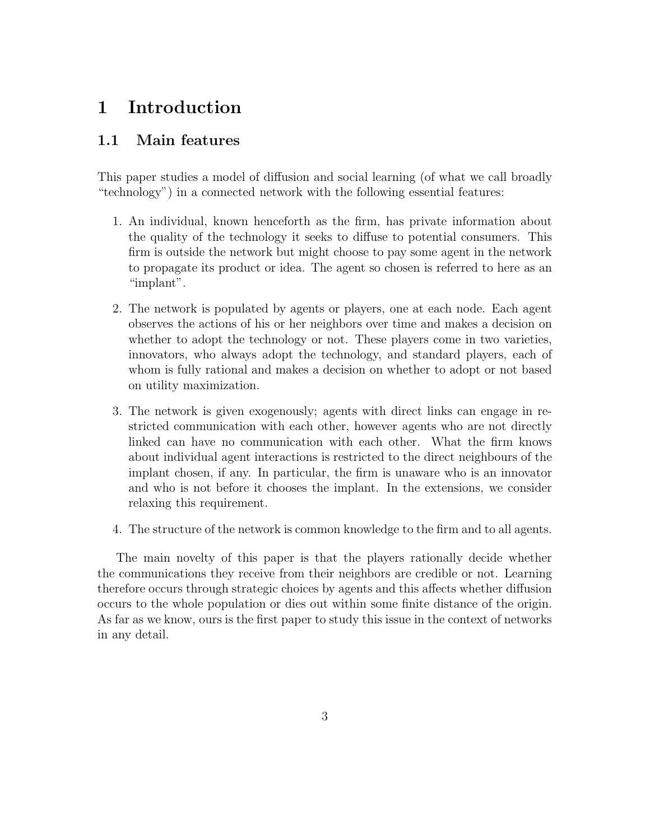# 1 Introduction

### 1.1 Main features

This paper studies a model of diffusion and social learning (of what we call broadly "technology") in a connected network with the following essential features:

- 1. An individual, known henceforth as the firm, has private information about the quality of the technology it seeks to diffuse to potential consumers. This firm is outside the network but might choose to pay some agent in the network to propagate its product or idea. The agent so chosen is referred to here as an "implant".
- 2. The network is populated by agents or players, one at each node. Each agent observes the actions of his or her neighbors over time and makes a decision on whether to adopt the technology or not. These players come in two varieties, innovators, who always adopt the technology, and standard players, each of whom is fully rational and makes a decision on whether to adopt or not based on utility maximization.
- 3. The network is given exogenously; agents with direct links can engage in restricted communication with each other, however agents who are not directly linked can have no communication with each other. What the firm knows about individual agent interactions is restricted to the direct neighbours of the implant chosen, if any. In particular, the firm is unaware who is an innovator and who is not before it chooses the implant. In the extensions, we consider relaxing this requirement.
- 4. The structure of the network is common knowledge to the firm and to all agents.

The main novelty of this paper is that the players rationally decide whether the communications they receive from their neighbors are credible or not. Learning therefore occurs through strategic choices by agents and this affects whether diffusion occurs to the whole population or dies out within some finite distance of the origin. As far as we know, ours is the first paper to study this issue in the context of networks in any detail.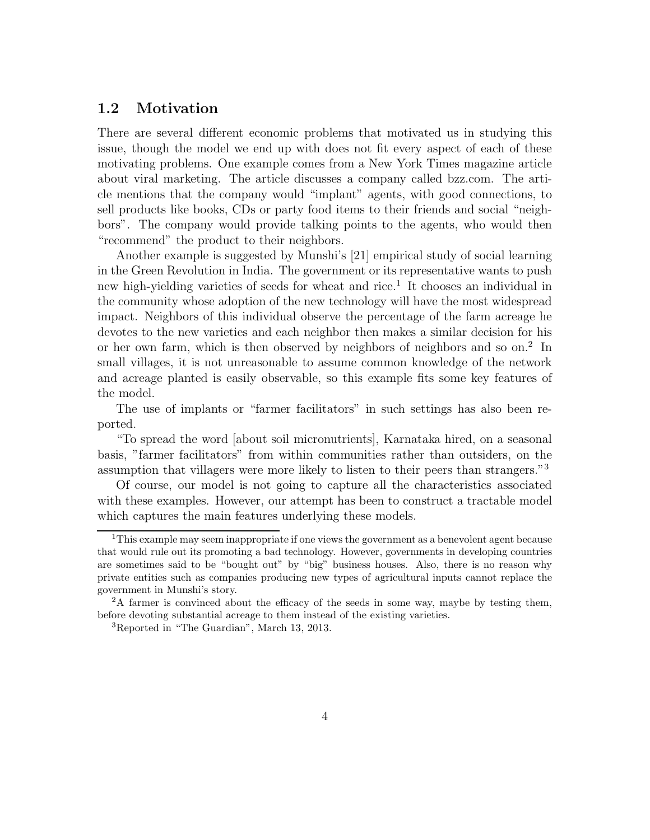### 1.2 Motivation

There are several different economic problems that motivated us in studying this issue, though the model we end up with does not fit every aspect of each of these motivating problems. One example comes from a New York Times magazine article about viral marketing. The article discusses a company called bzz.com. The article mentions that the company would "implant" agents, with good connections, to sell products like books, CDs or party food items to their friends and social "neighbors". The company would provide talking points to the agents, who would then "recommend" the product to their neighbors.

Another example is suggested by Munshi's [21] empirical study of social learning in the Green Revolution in India. The government or its representative wants to push new high-yielding varieties of seeds for wheat and rice.<sup>1</sup> It chooses an individual in the community whose adoption of the new technology will have the most widespread impact. Neighbors of this individual observe the percentage of the farm acreage he devotes to the new varieties and each neighbor then makes a similar decision for his or her own farm, which is then observed by neighbors of neighbors and so on.<sup>2</sup> In small villages, it is not unreasonable to assume common knowledge of the network and acreage planted is easily observable, so this example fits some key features of the model.

The use of implants or "farmer facilitators" in such settings has also been reported.

"To spread the word [about soil micronutrients], Karnataka hired, on a seasonal basis, "farmer facilitators" from within communities rather than outsiders, on the assumption that villagers were more likely to listen to their peers than strangers."<sup>3</sup>

Of course, our model is not going to capture all the characteristics associated with these examples. However, our attempt has been to construct a tractable model which captures the main features underlying these models.

<sup>&</sup>lt;sup>1</sup>This example may seem inappropriate if one views the government as a benevolent agent because that would rule out its promoting a bad technology. However, governments in developing countries are sometimes said to be "bought out" by "big" business houses. Also, there is no reason why private entities such as companies producing new types of agricultural inputs cannot replace the government in Munshi's story.

<sup>2</sup>A farmer is convinced about the efficacy of the seeds in some way, maybe by testing them, before devoting substantial acreage to them instead of the existing varieties.

<sup>3</sup>Reported in "The Guardian", March 13, 2013.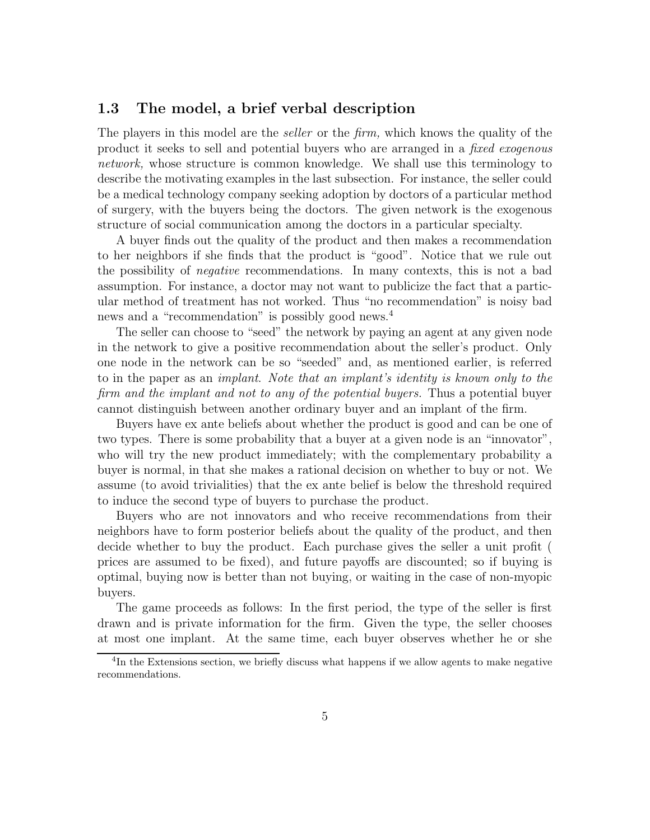### 1.3 The model, a brief verbal description

The players in this model are the *seller* or the *firm*, which knows the quality of the product it seeks to sell and potential buyers who are arranged in a fixed exogenous network, whose structure is common knowledge. We shall use this terminology to describe the motivating examples in the last subsection. For instance, the seller could be a medical technology company seeking adoption by doctors of a particular method of surgery, with the buyers being the doctors. The given network is the exogenous structure of social communication among the doctors in a particular specialty.

A buyer finds out the quality of the product and then makes a recommendation to her neighbors if she finds that the product is "good". Notice that we rule out the possibility of negative recommendations. In many contexts, this is not a bad assumption. For instance, a doctor may not want to publicize the fact that a particular method of treatment has not worked. Thus "no recommendation" is noisy bad news and a "recommendation" is possibly good news.<sup>4</sup>

The seller can choose to "seed" the network by paying an agent at any given node in the network to give a positive recommendation about the seller's product. Only one node in the network can be so "seeded" and, as mentioned earlier, is referred to in the paper as an implant. Note that an implant's identity is known only to the firm and the implant and not to any of the potential buyers. Thus a potential buyer cannot distinguish between another ordinary buyer and an implant of the firm.

Buyers have ex ante beliefs about whether the product is good and can be one of two types. There is some probability that a buyer at a given node is an "innovator", who will try the new product immediately; with the complementary probability a buyer is normal, in that she makes a rational decision on whether to buy or not. We assume (to avoid trivialities) that the ex ante belief is below the threshold required to induce the second type of buyers to purchase the product.

Buyers who are not innovators and who receive recommendations from their neighbors have to form posterior beliefs about the quality of the product, and then decide whether to buy the product. Each purchase gives the seller a unit profit ( prices are assumed to be fixed), and future payoffs are discounted; so if buying is optimal, buying now is better than not buying, or waiting in the case of non-myopic buyers.

The game proceeds as follows: In the first period, the type of the seller is first drawn and is private information for the firm. Given the type, the seller chooses at most one implant. At the same time, each buyer observes whether he or she

<sup>&</sup>lt;sup>4</sup>In the Extensions section, we briefly discuss what happens if we allow agents to make negative recommendations.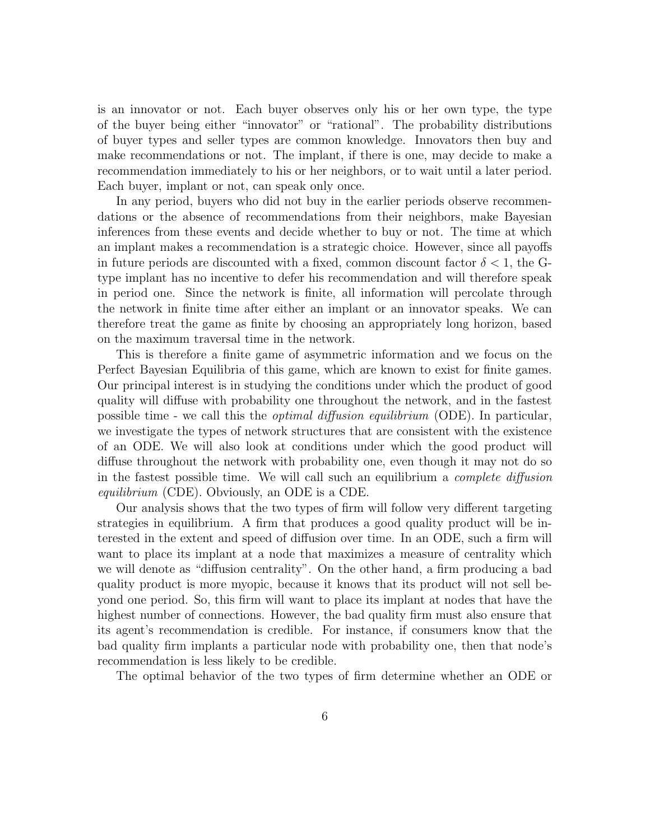is an innovator or not. Each buyer observes only his or her own type, the type of the buyer being either "innovator" or "rational". The probability distributions of buyer types and seller types are common knowledge. Innovators then buy and make recommendations or not. The implant, if there is one, may decide to make a recommendation immediately to his or her neighbors, or to wait until a later period. Each buyer, implant or not, can speak only once.

In any period, buyers who did not buy in the earlier periods observe recommendations or the absence of recommendations from their neighbors, make Bayesian inferences from these events and decide whether to buy or not. The time at which an implant makes a recommendation is a strategic choice. However, since all payoffs in future periods are discounted with a fixed, common discount factor  $\delta < 1$ , the Gtype implant has no incentive to defer his recommendation and will therefore speak in period one. Since the network is finite, all information will percolate through the network in finite time after either an implant or an innovator speaks. We can therefore treat the game as finite by choosing an appropriately long horizon, based on the maximum traversal time in the network.

This is therefore a finite game of asymmetric information and we focus on the Perfect Bayesian Equilibria of this game, which are known to exist for finite games. Our principal interest is in studying the conditions under which the product of good quality will diffuse with probability one throughout the network, and in the fastest possible time - we call this the optimal diffusion equilibrium (ODE). In particular, we investigate the types of network structures that are consistent with the existence of an ODE. We will also look at conditions under which the good product will diffuse throughout the network with probability one, even though it may not do so in the fastest possible time. We will call such an equilibrium a complete diffusion equilibrium (CDE). Obviously, an ODE is a CDE.

Our analysis shows that the two types of firm will follow very different targeting strategies in equilibrium. A firm that produces a good quality product will be interested in the extent and speed of diffusion over time. In an ODE, such a firm will want to place its implant at a node that maximizes a measure of centrality which we will denote as "diffusion centrality". On the other hand, a firm producing a bad quality product is more myopic, because it knows that its product will not sell beyond one period. So, this firm will want to place its implant at nodes that have the highest number of connections. However, the bad quality firm must also ensure that its agent's recommendation is credible. For instance, if consumers know that the bad quality firm implants a particular node with probability one, then that node's recommendation is less likely to be credible.

The optimal behavior of the two types of firm determine whether an ODE or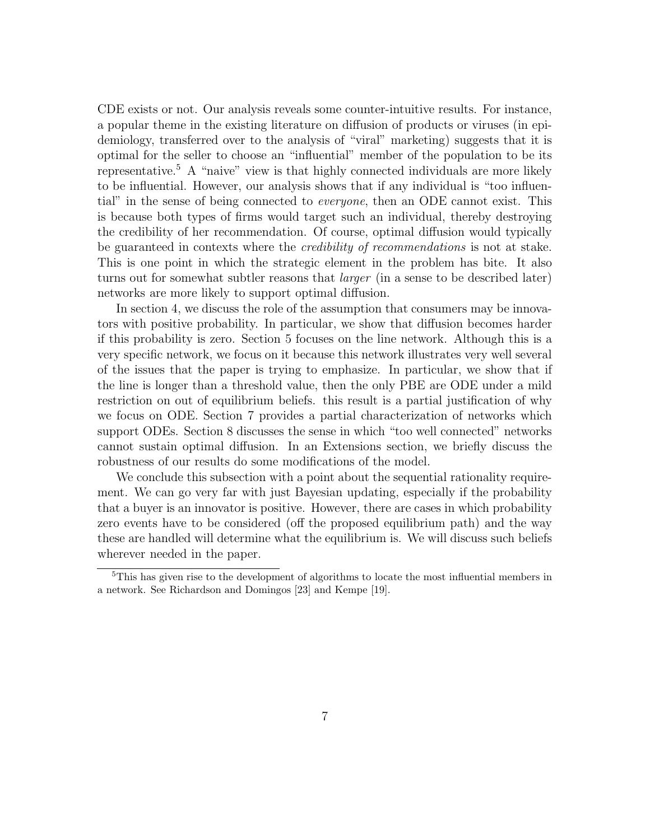CDE exists or not. Our analysis reveals some counter-intuitive results. For instance, a popular theme in the existing literature on diffusion of products or viruses (in epidemiology, transferred over to the analysis of "viral" marketing) suggests that it is optimal for the seller to choose an "influential" member of the population to be its representative.<sup>5</sup> A "naive" view is that highly connected individuals are more likely to be influential. However, our analysis shows that if any individual is "too influential" in the sense of being connected to everyone, then an ODE cannot exist. This is because both types of firms would target such an individual, thereby destroying the credibility of her recommendation. Of course, optimal diffusion would typically be guaranteed in contexts where the *credibility of recommendations* is not at stake. This is one point in which the strategic element in the problem has bite. It also turns out for somewhat subtler reasons that *larger* (in a sense to be described later) networks are more likely to support optimal diffusion.

In section 4, we discuss the role of the assumption that consumers may be innovators with positive probability. In particular, we show that diffusion becomes harder if this probability is zero. Section 5 focuses on the line network. Although this is a very specific network, we focus on it because this network illustrates very well several of the issues that the paper is trying to emphasize. In particular, we show that if the line is longer than a threshold value, then the only PBE are ODE under a mild restriction on out of equilibrium beliefs. this result is a partial justification of why we focus on ODE. Section 7 provides a partial characterization of networks which support ODEs. Section 8 discusses the sense in which "too well connected" networks cannot sustain optimal diffusion. In an Extensions section, we briefly discuss the robustness of our results do some modifications of the model.

We conclude this subsection with a point about the sequential rationality requirement. We can go very far with just Bayesian updating, especially if the probability that a buyer is an innovator is positive. However, there are cases in which probability zero events have to be considered (off the proposed equilibrium path) and the way these are handled will determine what the equilibrium is. We will discuss such beliefs wherever needed in the paper.

<sup>5</sup>This has given rise to the development of algorithms to locate the most influential members in a network. See Richardson and Domingos [23] and Kempe [19].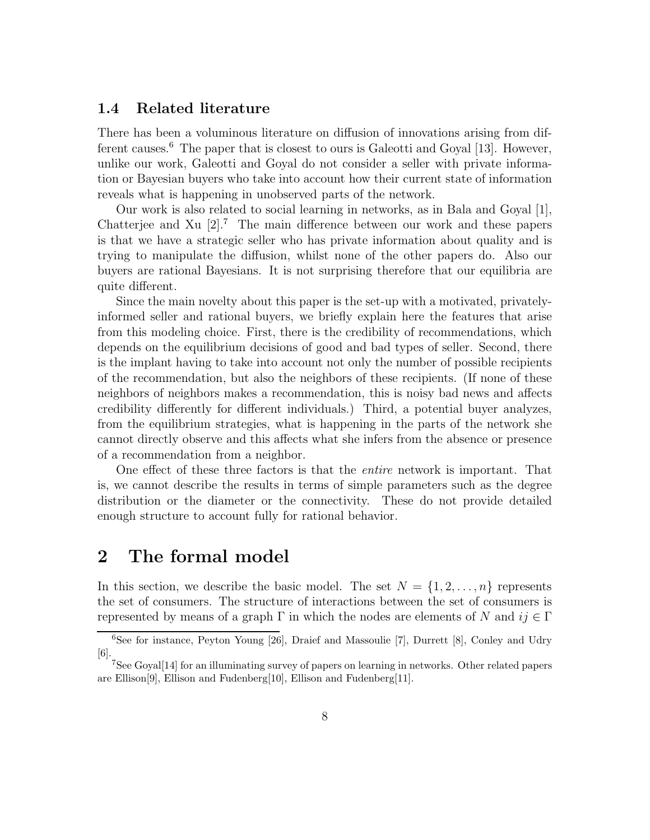### 1.4 Related literature

There has been a voluminous literature on diffusion of innovations arising from different causes.<sup>6</sup> The paper that is closest to ours is Galeotti and Goyal [13]. However, unlike our work, Galeotti and Goyal do not consider a seller with private information or Bayesian buyers who take into account how their current state of information reveals what is happening in unobserved parts of the network.

Our work is also related to social learning in networks, as in Bala and Goyal [1], Chatterjee and Xu  $[2]$ .<sup>7</sup> The main difference between our work and these papers is that we have a strategic seller who has private information about quality and is trying to manipulate the diffusion, whilst none of the other papers do. Also our buyers are rational Bayesians. It is not surprising therefore that our equilibria are quite different.

Since the main novelty about this paper is the set-up with a motivated, privatelyinformed seller and rational buyers, we briefly explain here the features that arise from this modeling choice. First, there is the credibility of recommendations, which depends on the equilibrium decisions of good and bad types of seller. Second, there is the implant having to take into account not only the number of possible recipients of the recommendation, but also the neighbors of these recipients. (If none of these neighbors of neighbors makes a recommendation, this is noisy bad news and affects credibility differently for different individuals.) Third, a potential buyer analyzes, from the equilibrium strategies, what is happening in the parts of the network she cannot directly observe and this affects what she infers from the absence or presence of a recommendation from a neighbor.

One effect of these three factors is that the entire network is important. That is, we cannot describe the results in terms of simple parameters such as the degree distribution or the diameter or the connectivity. These do not provide detailed enough structure to account fully for rational behavior.

# 2 The formal model

In this section, we describe the basic model. The set  $N = \{1, 2, ..., n\}$  represents the set of consumers. The structure of interactions between the set of consumers is represented by means of a graph  $\Gamma$  in which the nodes are elements of N and  $ij \in \Gamma$ 

<sup>&</sup>lt;sup>6</sup>See for instance, Peyton Young  $[26]$ , Draief and Massoulie [7], Durrett [8], Conley and Udry [6].

<sup>7</sup>See Goyal[14] for an illuminating survey of papers on learning in networks. Other related papers are Ellison[9], Ellison and Fudenberg[10], Ellison and Fudenberg[11].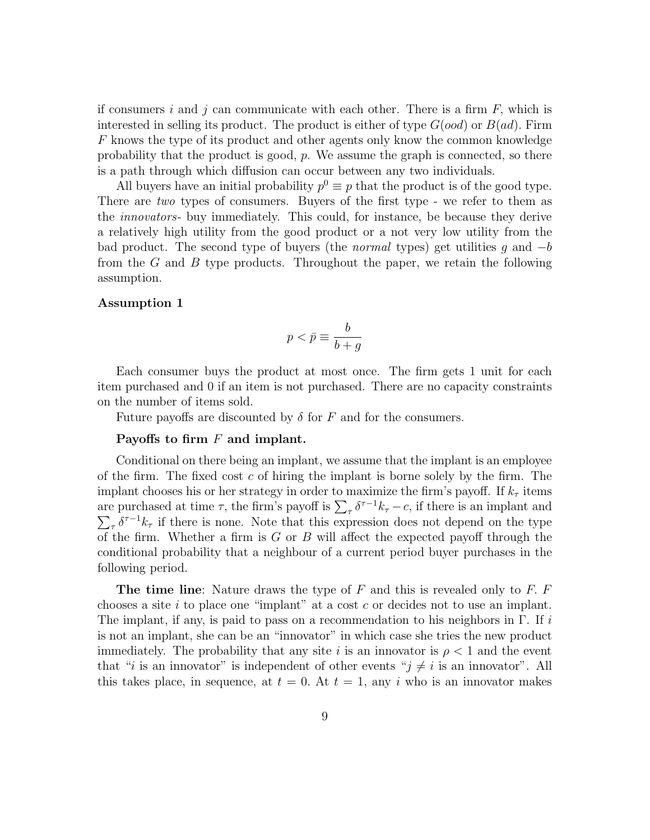if consumers i and j can communicate with each other. There is a firm  $F$ , which is interested in selling its product. The product is either of type  $G(ood)$  or  $B(ad)$ . Firm F knows the type of its product and other agents only know the common knowledge probability that the product is good,  $p$ . We assume the graph is connected, so there is a path through which diffusion can occur between any two individuals.

All buyers have an initial probability  $p^0 \equiv p$  that the product is of the good type. There are *two* types of consumers. Buyers of the first type - we refer to them as the innovators- buy immediately. This could, for instance, be because they derive a relatively high utility from the good product or a not very low utility from the bad product. The second type of buyers (the *normal* types) get utilities g and  $-b$ from the  $G$  and  $B$  type products. Throughout the paper, we retain the following assumption.

### Assumption 1

$$
p<\bar{p}\equiv\frac{b}{b+g}
$$

Each consumer buys the product at most once. The firm gets 1 unit for each item purchased and 0 if an item is not purchased. There are no capacity constraints on the number of items sold.

Future payoffs are discounted by  $\delta$  for F and for the consumers.

#### Payoffs to firm  $F$  and implant.

Conditional on there being an implant, we assume that the implant is an employee of the firm. The fixed cost  $c$  of hiring the implant is borne solely by the firm. The implant chooses his or her strategy in order to maximize the firm's payoff. If  $k<sub>\tau</sub>$  items are purchased at time  $\tau$ , the firm's payoff is  $\sum_{\tau} \delta^{\tau-1} k_{\tau} - c$ , if there is an implant and  $\sum_{\tau} \delta^{\tau-1} k_{\tau}$  if there is none. Note that this expression does not depend on the type of the firm. Whether a firm is  $G$  or  $B$  will affect the expected payoff through the conditional probability that a neighbour of a current period buyer purchases in the following period.

The time line: Nature draws the type of  $F$  and this is revealed only to  $F$ .  $F$ chooses a site  $i$  to place one "implant" at a cost  $c$  or decides not to use an implant. The implant, if any, is paid to pass on a recommendation to his neighbors in  $\Gamma$ . If i is not an implant, she can be an "innovator" in which case she tries the new product immediately. The probability that any site i is an innovator is  $\rho < 1$  and the event that "*i* is an innovator" is independent of other events " $j \neq i$  is an innovator". All this takes place, in sequence, at  $t = 0$ . At  $t = 1$ , any i who is an innovator makes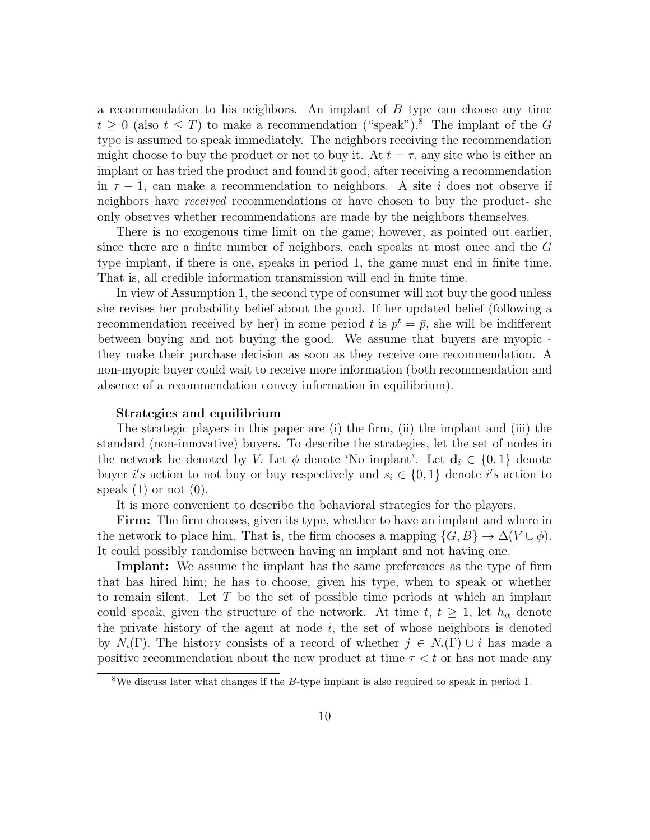a recommendation to his neighbors. An implant of B type can choose any time  $t \geq 0$  (also  $t \leq T$ ) to make a recommendation ("speak").<sup>8</sup> The implant of the G type is assumed to speak immediately. The neighbors receiving the recommendation might choose to buy the product or not to buy it. At  $t = \tau$ , any site who is either an implant or has tried the product and found it good, after receiving a recommendation in  $\tau - 1$ , can make a recommendation to neighbors. A site i does not observe if neighbors have received recommendations or have chosen to buy the product- she only observes whether recommendations are made by the neighbors themselves.

There is no exogenous time limit on the game; however, as pointed out earlier, since there are a finite number of neighbors, each speaks at most once and the G type implant, if there is one, speaks in period 1, the game must end in finite time. That is, all credible information transmission will end in finite time.

In view of Assumption 1, the second type of consumer will not buy the good unless she revises her probability belief about the good. If her updated belief (following a recommendation received by her) in some period t is  $p^t = \bar{p}$ , she will be indifferent between buying and not buying the good. We assume that buyers are myopic they make their purchase decision as soon as they receive one recommendation. A non-myopic buyer could wait to receive more information (both recommendation and absence of a recommendation convey information in equilibrium).

#### Strategies and equilibrium

The strategic players in this paper are (i) the firm, (ii) the implant and (iii) the standard (non-innovative) buyers. To describe the strategies, let the set of nodes in the network be denoted by V. Let  $\phi$  denote 'No implant'. Let  $\mathbf{d}_i \in \{0,1\}$  denote buyer i's action to not buy or buy respectively and  $s_i \in \{0,1\}$  denote i's action to speak  $(1)$  or not  $(0)$ .

It is more convenient to describe the behavioral strategies for the players.

Firm: The firm chooses, given its type, whether to have an implant and where in the network to place him. That is, the firm chooses a mapping  $\{G, B\} \to \Delta(V \cup \phi)$ . It could possibly randomise between having an implant and not having one.

Implant: We assume the implant has the same preferences as the type of firm that has hired him; he has to choose, given his type, when to speak or whether to remain silent. Let T be the set of possible time periods at which an implant could speak, given the structure of the network. At time  $t, t \geq 1$ , let  $h_{it}$  denote the private history of the agent at node  $i$ , the set of whose neighbors is denoted by  $N_i(\Gamma)$ . The history consists of a record of whether  $j \in N_i(\Gamma) \cup i$  has made a positive recommendation about the new product at time  $\tau < t$  or has not made any

<sup>&</sup>lt;sup>8</sup>We discuss later what changes if the  $B$ -type implant is also required to speak in period 1.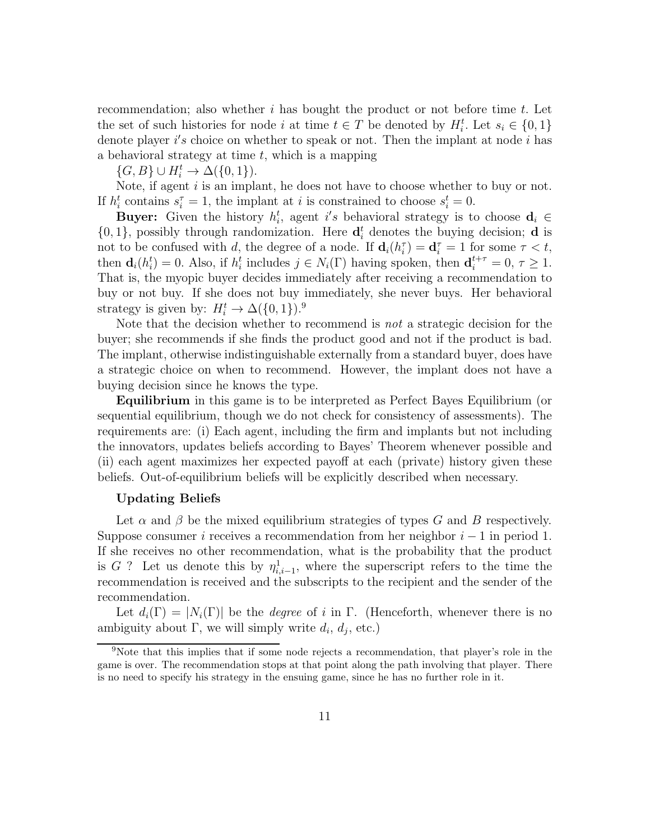recommendation; also whether  $i$  has bought the product or not before time  $t$ . Let the set of such histories for node i at time  $t \in T$  be denoted by  $H_i^t$ . Let  $s_i \in \{0,1\}$ denote player i's choice on whether to speak or not. Then the implant at node i has a behavioral strategy at time  $t$ , which is a mapping

 $\{G, B\} \cup H_i^t \rightarrow \Delta({0, 1}).$ 

Note, if agent  $i$  is an implant, he does not have to choose whether to buy or not. If  $h_i^t$  contains  $s_i^{\tau} = 1$ , the implant at *i* is constrained to choose  $s_i^t = 0$ .

**Buyer:** Given the history  $h_i^t$ , agent i's behavioral strategy is to choose  $\mathbf{d}_i \in$  $\{0,1\}$ , possibly through randomization. Here  $\mathbf{d}_i^t$  denotes the buying decision; **d** is not to be confused with d, the degree of a node. If  $\mathbf{d}_i(h_i^{\tau}) = \mathbf{d}_i^{\tau} = 1$  for some  $\tau < t$ , then  $\mathbf{d}_i(h_i^t) = 0$ . Also, if  $h_i^t$  includes  $j \in N_i(\Gamma)$  having spoken, then  $\mathbf{d}_i^{t+\tau} = 0, \tau \ge 1$ . That is, the myopic buyer decides immediately after receiving a recommendation to buy or not buy. If she does not buy immediately, she never buys. Her behavioral strategy is given by:  $H_i^t \to \Delta({0, 1})$ .<sup>9</sup>

Note that the decision whether to recommend is not a strategic decision for the buyer; she recommends if she finds the product good and not if the product is bad. The implant, otherwise indistinguishable externally from a standard buyer, does have a strategic choice on when to recommend. However, the implant does not have a buying decision since he knows the type.

Equilibrium in this game is to be interpreted as Perfect Bayes Equilibrium (or sequential equilibrium, though we do not check for consistency of assessments). The requirements are: (i) Each agent, including the firm and implants but not including the innovators, updates beliefs according to Bayes' Theorem whenever possible and (ii) each agent maximizes her expected payoff at each (private) history given these beliefs. Out-of-equilibrium beliefs will be explicitly described when necessary.

#### Updating Beliefs

Let  $\alpha$  and  $\beta$  be the mixed equilibrium strategies of types G and B respectively. Suppose consumer i receives a recommendation from her neighbor  $i - 1$  in period 1. If she receives no other recommendation, what is the probability that the product is G ? Let us denote this by  $\eta_{i,i-1}^1$ , where the superscript refers to the time the recommendation is received and the subscripts to the recipient and the sender of the recommendation.

Let  $d_i(\Gamma) = |N_i(\Gamma)|$  be the *degree* of i in  $\Gamma$ . (Henceforth, whenever there is no ambiguity about  $\Gamma$ , we will simply write  $d_i$ ,  $d_j$ , etc.)

<sup>9</sup>Note that this implies that if some node rejects a recommendation, that player's role in the game is over. The recommendation stops at that point along the path involving that player. There is no need to specify his strategy in the ensuing game, since he has no further role in it.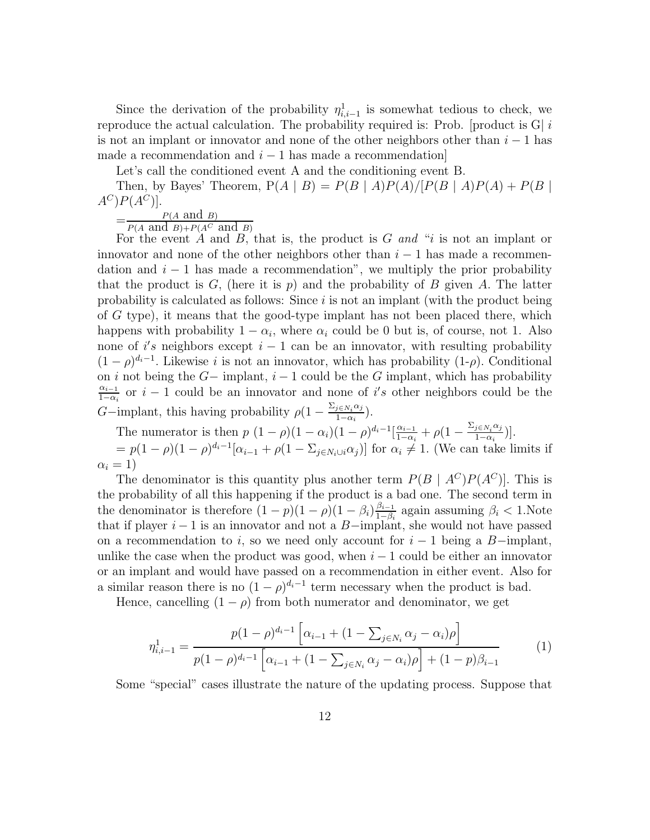Since the derivation of the probability  $\eta_{i,i-1}^1$  is somewhat tedious to check, we reproduce the actual calculation. The probability required is: Prob. [product is  $G|i$ is not an implant or innovator and none of the other neighbors other than  $i-1$  has made a recommendation and  $i - 1$  has made a recommendation

Let's call the conditioned event A and the conditioning event B.

Then, by Bayes' Theorem,  $P(A | B) = P(B | A)P(A)/[P(B | A)P(A) + P(B | A)]$  $A^C$  $P(A^C)$ ].

 $=\frac{P(A \text{ and } B)}{P(A \text{ and } B) + P(A)}$  $P(A \text{ and } B) + P(A^C \text{ and } B)$ 

For the event A and B, that is, the product is  $G$  and "i is not an implant or innovator and none of the other neighbors other than  $i - 1$  has made a recommendation and  $i - 1$  has made a recommendation", we multiply the prior probability that the product is G, (here it is p) and the probability of B given A. The latter probability is calculated as follows: Since  $i$  is not an implant (with the product being of G type), it means that the good-type implant has not been placed there, which happens with probability  $1 - \alpha_i$ , where  $\alpha_i$  could be 0 but is, of course, not 1. Also none of i's neighbors except  $i-1$  can be an innovator, with resulting probability  $(1 - \rho)^{d_i - 1}$ . Likewise *i* is not an innovator, which has probability  $(1-\rho)$ . Conditional on i not being the  $G-$  implant,  $i-1$  could be the G implant, which has probability  $\alpha_{i-1}$  $\frac{\alpha_{i-1}}{1-\alpha_i}$  or  $i-1$  could be an innovator and none of i's other neighbors could be the G-implant, this having probability  $\rho(1-\frac{\sum_{j\in N_i}\alpha_j}{1-\alpha_j})$  $\frac{j\in N_i\alpha_j}{1-\alpha_i}$ ).

The numerator is then 
$$
p(1-\rho)(1-\alpha_i)(1-\rho)^{d_i-1}[\frac{\alpha_{i-1}}{1-\alpha_i}+\rho(1-\frac{\Sigma_{j\in N_i}\alpha_j}{1-\alpha_i})].
$$

 $=p(1-\rho)(1-\rho)^{d_i-1}[\alpha_{i-1}+\rho(1-\Sigma_{j\in N_i\cup i}\alpha_j)]$  for  $\alpha_i\neq 1$ . (We can take limits if  $\alpha_i = 1$ )

The denominator is this quantity plus another term  $P(B \mid A^C)P(A^C)$ . This is the probability of all this happening if the product is a bad one. The second term in the denominator is therefore  $(1-p)(1-\rho)(1-\beta_i)\frac{\beta_{i-1}}{1-\beta_i}$  $\frac{\beta_{i-1}}{1-\beta_i}$  again assuming  $\beta_i < 1$ .Note that if player  $i - 1$  is an innovator and not a B-implant, she would not have passed on a recommendation to i, so we need only account for  $i - 1$  being a B-implant, unlike the case when the product was good, when  $i - 1$  could be either an innovator or an implant and would have passed on a recommendation in either event. Also for a similar reason there is no  $(1 - \rho)^{d_i - 1}$  term necessary when the product is bad.

Hence, cancelling  $(1 - \rho)$  from both numerator and denominator, we get

$$
\eta_{i,i-1}^1 = \frac{p(1-\rho)^{d_i-1} \left[ \alpha_{i-1} + (1 - \sum_{j \in N_i} \alpha_j - \alpha_i) \rho \right]}{p(1-\rho)^{d_i-1} \left[ \alpha_{i-1} + (1 - \sum_{j \in N_i} \alpha_j - \alpha_i) \rho \right] + (1-p)\beta_{i-1}} \tag{1}
$$

Some "special" cases illustrate the nature of the updating process. Suppose that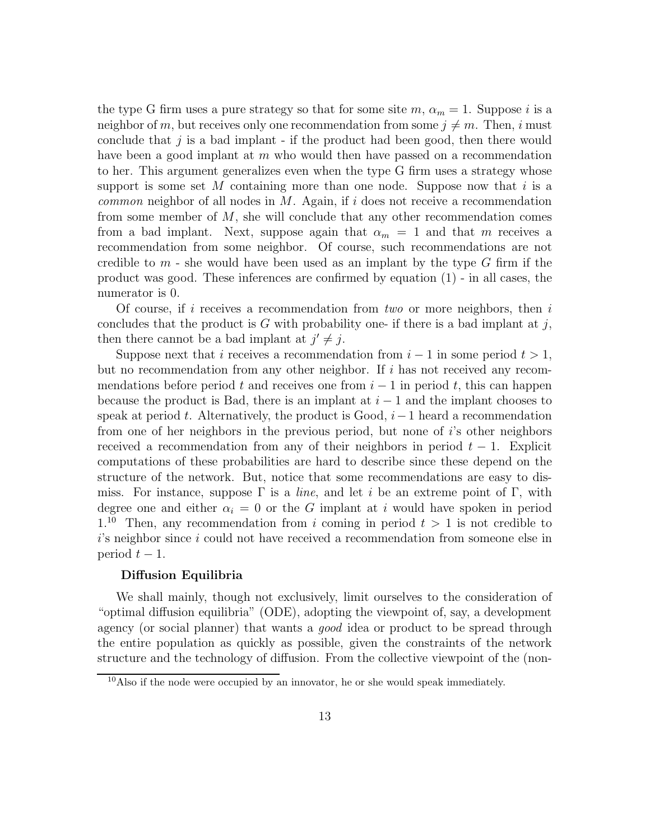the type G firm uses a pure strategy so that for some site  $m$ ,  $\alpha_m = 1$ . Suppose i is a neighbor of m, but receives only one recommendation from some  $j \neq m$ . Then, i must conclude that  $j$  is a bad implant - if the product had been good, then there would have been a good implant at  $m$  who would then have passed on a recommendation to her. This argument generalizes even when the type G firm uses a strategy whose support is some set M containing more than one node. Suppose now that  $i$  is a *common* neighbor of all nodes in M. Again, if i does not receive a recommendation from some member of  $M$ , she will conclude that any other recommendation comes from a bad implant. Next, suppose again that  $\alpha_m = 1$  and that m receives a recommendation from some neighbor. Of course, such recommendations are not credible to  $m$  - she would have been used as an implant by the type G firm if the product was good. These inferences are confirmed by equation (1) - in all cases, the numerator is 0.

Of course, if i receives a recommendation from two or more neighbors, then i concludes that the product is G with probability one- if there is a bad implant at j, then there cannot be a bad implant at  $j' \neq j$ .

Suppose next that i receives a recommendation from  $i-1$  in some period  $t > 1$ , but no recommendation from any other neighbor. If  $i$  has not received any recommendations before period t and receives one from  $i - 1$  in period t, this can happen because the product is Bad, there is an implant at  $i - 1$  and the implant chooses to speak at period t. Alternatively, the product is Good,  $i-1$  heard a recommendation from one of her neighbors in the previous period, but none of i's other neighbors received a recommendation from any of their neighbors in period  $t - 1$ . Explicit computations of these probabilities are hard to describe since these depend on the structure of the network. But, notice that some recommendations are easy to dismiss. For instance, suppose  $\Gamma$  is a *line*, and let i be an extreme point of  $\Gamma$ , with degree one and either  $\alpha_i = 0$  or the G implant at i would have spoken in period 1.<sup>10</sup> Then, any recommendation from i coming in period  $t > 1$  is not credible to  $i$ 's neighbor since i could not have received a recommendation from someone else in period  $t-1$ .

### Diffusion Equilibria

We shall mainly, though not exclusively, limit ourselves to the consideration of "optimal diffusion equilibria" (ODE), adopting the viewpoint of, say, a development agency (or social planner) that wants a *good* idea or product to be spread through the entire population as quickly as possible, given the constraints of the network structure and the technology of diffusion. From the collective viewpoint of the (non-

<sup>10</sup>Also if the node were occupied by an innovator, he or she would speak immediately.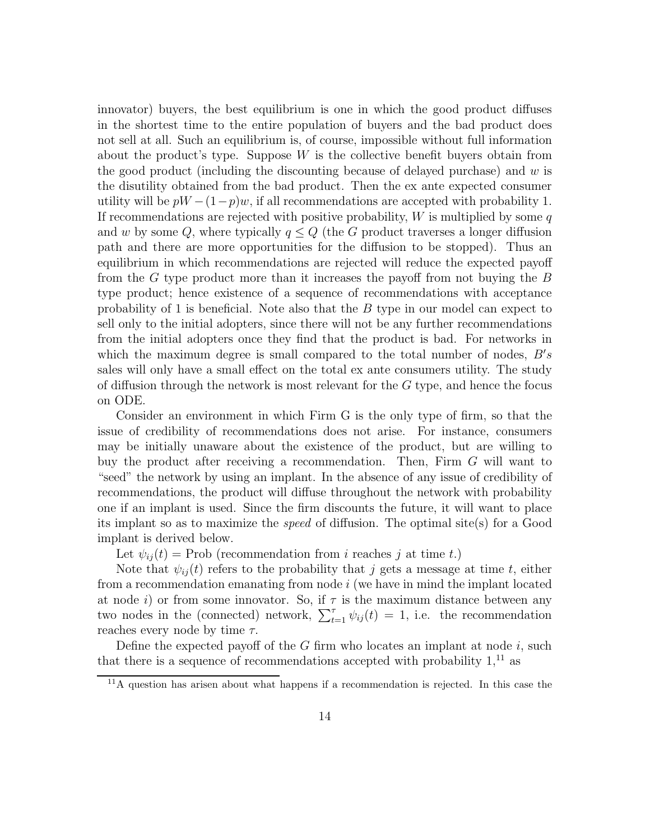innovator) buyers, the best equilibrium is one in which the good product diffuses in the shortest time to the entire population of buyers and the bad product does not sell at all. Such an equilibrium is, of course, impossible without full information about the product's type. Suppose  $W$  is the collective benefit buyers obtain from the good product (including the discounting because of delayed purchase) and  $w$  is the disutility obtained from the bad product. Then the ex ante expected consumer utility will be  $pW - (1-p)w$ , if all recommendations are accepted with probability 1. If recommendations are rejected with positive probability,  $W$  is multiplied by some  $q$ and w by some Q, where typically  $q \leq Q$  (the G product traverses a longer diffusion path and there are more opportunities for the diffusion to be stopped). Thus an equilibrium in which recommendations are rejected will reduce the expected payoff from the G type product more than it increases the payoff from not buying the B type product; hence existence of a sequence of recommendations with acceptance probability of 1 is beneficial. Note also that the B type in our model can expect to sell only to the initial adopters, since there will not be any further recommendations from the initial adopters once they find that the product is bad. For networks in which the maximum degree is small compared to the total number of nodes,  $B's$ sales will only have a small effect on the total ex ante consumers utility. The study of diffusion through the network is most relevant for the  $G$  type, and hence the focus on ODE.

Consider an environment in which Firm G is the only type of firm, so that the issue of credibility of recommendations does not arise. For instance, consumers may be initially unaware about the existence of the product, but are willing to buy the product after receiving a recommendation. Then, Firm G will want to "seed" the network by using an implant. In the absence of any issue of credibility of recommendations, the product will diffuse throughout the network with probability one if an implant is used. Since the firm discounts the future, it will want to place its implant so as to maximize the speed of diffusion. The optimal site(s) for a Good implant is derived below.

Let  $\psi_{ii}(t) = \text{Prob}$  (recommendation from i reaches j at time t.)

Note that  $\psi_{ij}(t)$  refers to the probability that j gets a message at time t, either from a recommendation emanating from node  $i$  (we have in mind the implant located at node i) or from some innovator. So, if  $\tau$  is the maximum distance between any two nodes in the (connected) network,  $\sum_{t=1}^{\tau} \psi_{ij}(t) = 1$ , i.e. the recommendation reaches every node by time  $\tau$ .

Define the expected payoff of the  $G$  firm who locates an implant at node  $i$ , such that there is a sequence of recommendations accepted with probability  $1<sup>11</sup>$  as

 $11$ A question has arisen about what happens if a recommendation is rejected. In this case the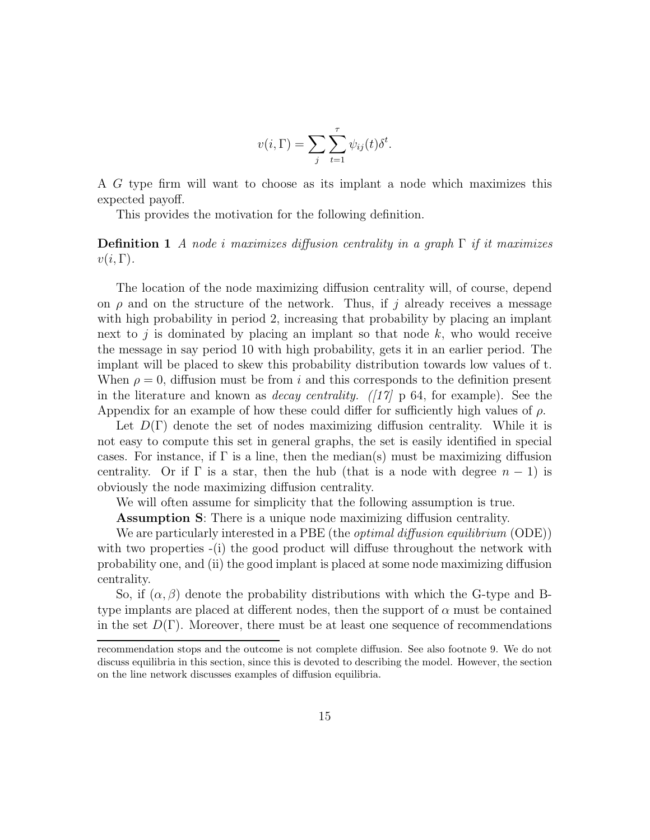$$
v(i, \Gamma) = \sum_{j} \sum_{t=1}^{\tau} \psi_{ij}(t) \delta^{t}.
$$

A G type firm will want to choose as its implant a node which maximizes this expected payoff.

This provides the motivation for the following definition.

**Definition 1** A node i maximizes diffusion centrality in a graph  $\Gamma$  if it maximizes  $v(i, \Gamma)$ .

The location of the node maximizing diffusion centrality will, of course, depend on  $\rho$  and on the structure of the network. Thus, if j already receives a message with high probability in period 2, increasing that probability by placing an implant next to j is dominated by placing an implant so that node  $k$ , who would receive the message in say period 10 with high probability, gets it in an earlier period. The implant will be placed to skew this probability distribution towards low values of t. When  $\rho = 0$ , diffusion must be from i and this corresponds to the definition present in the literature and known as *decay centrality.* ([17]  $\bar{p}$  64, for example). See the Appendix for an example of how these could differ for sufficiently high values of  $\rho$ .

Let  $D(\Gamma)$  denote the set of nodes maximizing diffusion centrality. While it is not easy to compute this set in general graphs, the set is easily identified in special cases. For instance, if  $\Gamma$  is a line, then the median(s) must be maximizing diffusion centrality. Or if  $\Gamma$  is a star, then the hub (that is a node with degree  $n-1$ ) is obviously the node maximizing diffusion centrality.

We will often assume for simplicity that the following assumption is true.

Assumption S: There is a unique node maximizing diffusion centrality.

We are particularly interested in a PBE (the *optimal diffusion equilibrium* (ODE)) with two properties  $(i)$  the good product will diffuse throughout the network with probability one, and (ii) the good implant is placed at some node maximizing diffusion centrality.

So, if  $(\alpha, \beta)$  denote the probability distributions with which the G-type and Btype implants are placed at different nodes, then the support of  $\alpha$  must be contained in the set  $D(\Gamma)$ . Moreover, there must be at least one sequence of recommendations

recommendation stops and the outcome is not complete diffusion. See also footnote 9. We do not discuss equilibria in this section, since this is devoted to describing the model. However, the section on the line network discusses examples of diffusion equilibria.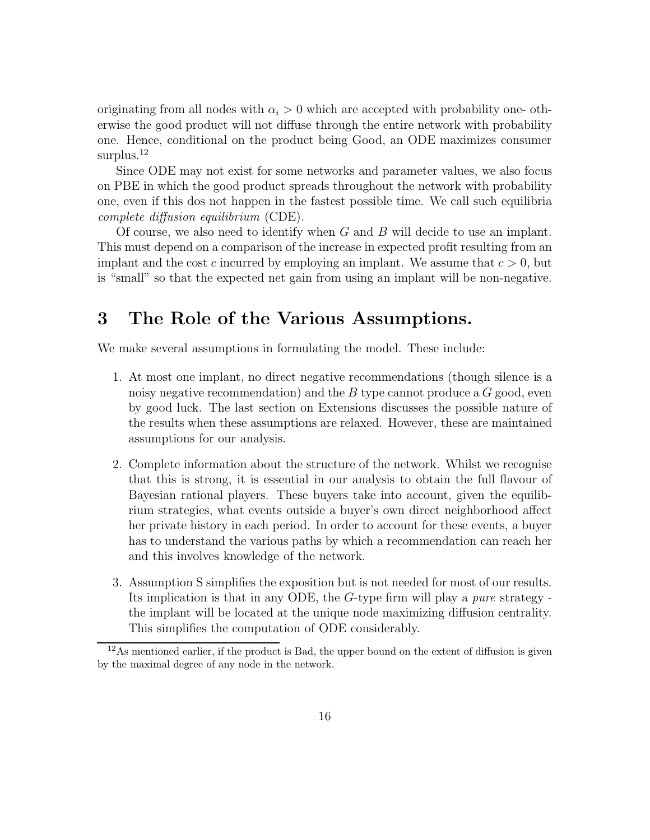originating from all nodes with  $\alpha_i > 0$  which are accepted with probability one-otherwise the good product will not diffuse through the entire network with probability one. Hence, conditional on the product being Good, an ODE maximizes consumer surplus.<sup>12</sup>

Since ODE may not exist for some networks and parameter values, we also focus on PBE in which the good product spreads throughout the network with probability one, even if this dos not happen in the fastest possible time. We call such equilibria complete diffusion equilibrium (CDE).

Of course, we also need to identify when G and B will decide to use an implant. This must depend on a comparison of the increase in expected profit resulting from an implant and the cost c incurred by employing an implant. We assume that  $c > 0$ , but is "small" so that the expected net gain from using an implant will be non-negative.

# 3 The Role of the Various Assumptions.

We make several assumptions in formulating the model. These include:

- 1. At most one implant, no direct negative recommendations (though silence is a noisy negative recommendation) and the  $B$  type cannot produce a  $G$  good, even by good luck. The last section on Extensions discusses the possible nature of the results when these assumptions are relaxed. However, these are maintained assumptions for our analysis.
- 2. Complete information about the structure of the network. Whilst we recognise that this is strong, it is essential in our analysis to obtain the full flavour of Bayesian rational players. These buyers take into account, given the equilibrium strategies, what events outside a buyer's own direct neighborhood affect her private history in each period. In order to account for these events, a buyer has to understand the various paths by which a recommendation can reach her and this involves knowledge of the network.
- 3. Assumption S simplifies the exposition but is not needed for most of our results. Its implication is that in any ODE, the G-type firm will play a pure strategy the implant will be located at the unique node maximizing diffusion centrality. This simplifies the computation of ODE considerably.

 $12\text{As mentioned earlier, if the product is Bad, the upper bound on the extent of diffusion is given}$ by the maximal degree of any node in the network.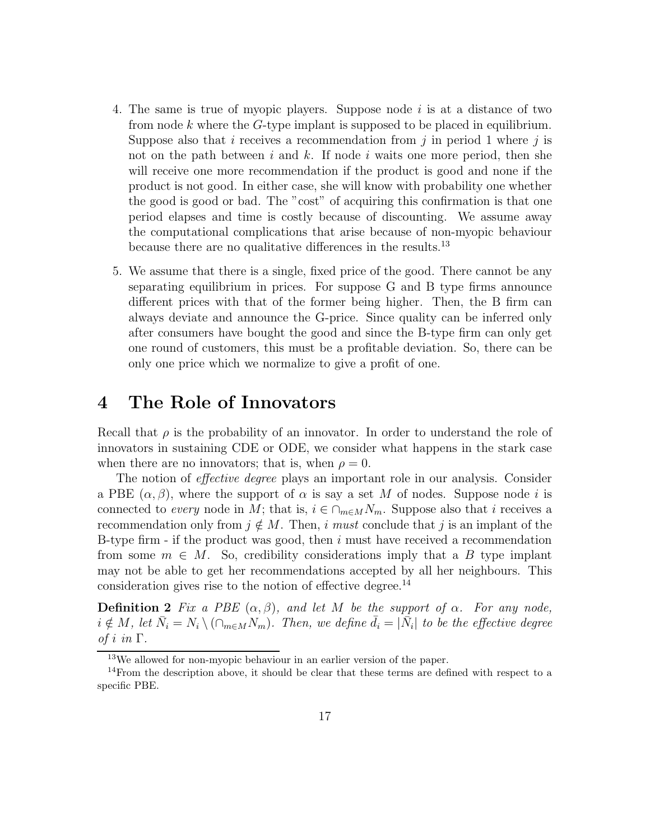- 4. The same is true of myopic players. Suppose node  $i$  is at a distance of two from node  $k$  where the  $G$ -type implant is supposed to be placed in equilibrium. Suppose also that i receives a recommendation from j in period 1 where j is not on the path between i and k. If node i waits one more period, then she will receive one more recommendation if the product is good and none if the product is not good. In either case, she will know with probability one whether the good is good or bad. The "cost" of acquiring this confirmation is that one period elapses and time is costly because of discounting. We assume away the computational complications that arise because of non-myopic behaviour because there are no qualitative differences in the results.<sup>13</sup>
- 5. We assume that there is a single, fixed price of the good. There cannot be any separating equilibrium in prices. For suppose G and B type firms announce different prices with that of the former being higher. Then, the B firm can always deviate and announce the G-price. Since quality can be inferred only after consumers have bought the good and since the B-type firm can only get one round of customers, this must be a profitable deviation. So, there can be only one price which we normalize to give a profit of one.

## 4 The Role of Innovators

Recall that  $\rho$  is the probability of an innovator. In order to understand the role of innovators in sustaining CDE or ODE, we consider what happens in the stark case when there are no innovators; that is, when  $\rho = 0$ .

The notion of *effective degree* plays an important role in our analysis. Consider a PBE  $(\alpha, \beta)$ , where the support of  $\alpha$  is say a set M of nodes. Suppose node i is connected to every node in M; that is,  $i \in \bigcap_{m \in M} N_m$ . Suppose also that i receives a recommendation only from  $j \notin M$ . Then, i must conclude that j is an implant of the B-type firm  $\overline{\phantom{a}}$  if the product was good, then i must have received a recommendation from some  $m \in M$ . So, credibility considerations imply that a B type implant may not be able to get her recommendations accepted by all her neighbours. This consideration gives rise to the notion of effective degree. $^{14}$ 

**Definition 2** Fix a PBE  $(\alpha, \beta)$ , and let M be the support of  $\alpha$ . For any node,  $i \notin M$ , let  $\bar{N}_i = N_i \setminus (\cap_{m \in M} N_m)$ . Then, we define  $\bar{d}_i = |\bar{N}_i|$  to be the effective degree of i in  $\Gamma$ .

<sup>13</sup>We allowed for non-myopic behaviour in an earlier version of the paper.

 $14$ From the description above, it should be clear that these terms are defined with respect to a specific PBE.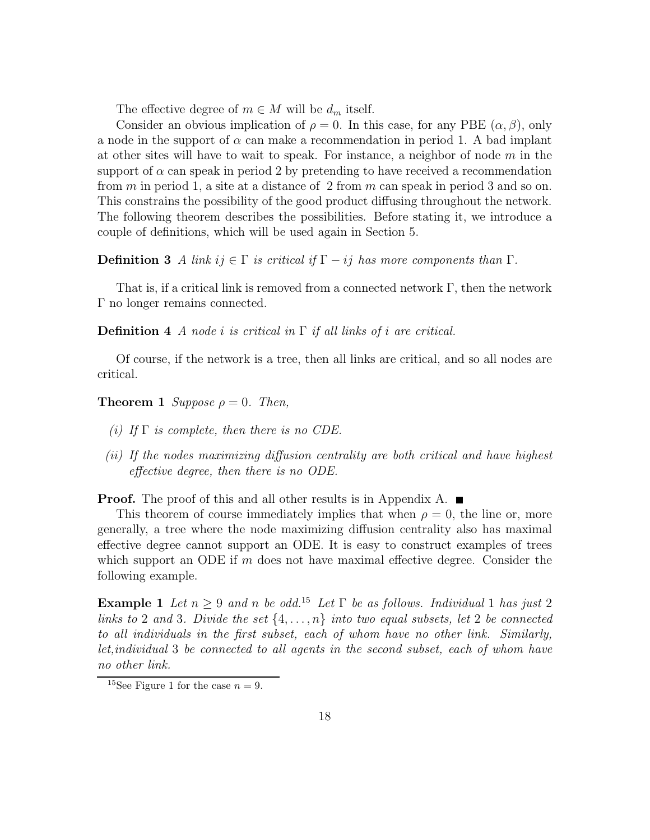The effective degree of  $m \in M$  will be  $d_m$  itself.

Consider an obvious implication of  $\rho = 0$ . In this case, for any PBE  $(\alpha, \beta)$ , only a node in the support of  $\alpha$  can make a recommendation in period 1. A bad implant at other sites will have to wait to speak. For instance, a neighbor of node  $m$  in the support of  $\alpha$  can speak in period 2 by pretending to have received a recommendation from  $m$  in period 1, a site at a distance of 2 from  $m$  can speak in period 3 and so on. This constrains the possibility of the good product diffusing throughout the network. The following theorem describes the possibilities. Before stating it, we introduce a couple of definitions, which will be used again in Section 5.

**Definition 3** A link ij  $\in \Gamma$  is critical if  $\Gamma - ij$  has more components than  $\Gamma$ .

That is, if a critical link is removed from a connected network  $\Gamma$ , then the network Γ no longer remains connected.

**Definition 4** A node *i* is critical in  $\Gamma$  if all links of *i* are critical.

Of course, if the network is a tree, then all links are critical, and so all nodes are critical.

**Theorem 1** Suppose  $\rho = 0$ . Then,

- (i) If  $\Gamma$  is complete, then there is no CDE.
- (ii) If the nodes maximizing diffusion centrality are both critical and have highest effective degree, then there is no ODE.

**Proof.** The proof of this and all other results is in Appendix A.  $\blacksquare$ 

This theorem of course immediately implies that when  $\rho = 0$ , the line or, more generally, a tree where the node maximizing diffusion centrality also has maximal effective degree cannot support an ODE. It is easy to construct examples of trees which support an ODE if  $m$  does not have maximal effective degree. Consider the following example.

Example 1 Let  $n \geq 9$  and n be odd.<sup>15</sup> Let  $\Gamma$  be as follows. Individual 1 has just 2 links to 2 and 3. Divide the set  $\{4, \ldots, n\}$  into two equal subsets, let 2 be connected to all individuals in the first subset, each of whom have no other link. Similarly, let,individual 3 be connected to all agents in the second subset, each of whom have no other link.

<sup>&</sup>lt;sup>15</sup>See Figure 1 for the case  $n = 9$ .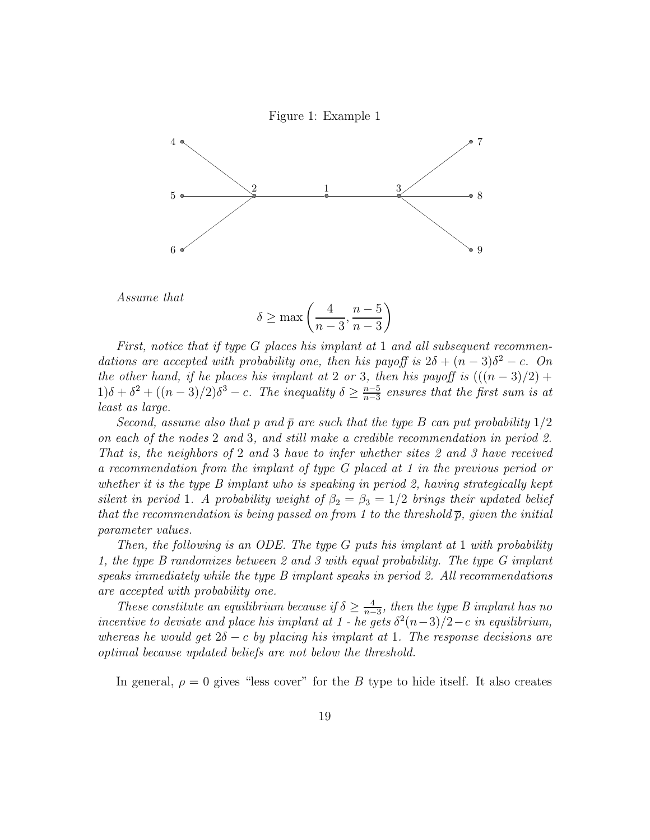



Assume that

$$
\delta \ge \max\left(\frac{4}{n-3}, \frac{n-5}{n-3}\right)
$$

First, notice that if type G places his implant at 1 and all subsequent recommendations are accepted with probability one, then his payoff is  $2\delta + (n-3)\delta^2 - c$ . On the other hand, if he places his implant at 2 or 3, then his payoff is  $(((n-3)/2) +$  $1)\delta + \delta^2 + ((n-3)/2)\delta^3 - c$ . The inequality  $\delta \geq \frac{n-5}{n-3}$  $\frac{n-5}{n-3}$  ensures that the first sum is at least as large.

Second, assume also that p and  $\bar{p}$  are such that the type B can put probability  $1/2$ on each of the nodes 2 and 3, and still make a credible recommendation in period 2. That is, the neighbors of 2 and 3 have to infer whether sites 2 and 3 have received a recommendation from the implant of type G placed at 1 in the previous period or whether it is the type B implant who is speaking in period 2, having strategically kept silent in period 1. A probability weight of  $\beta_2 = \beta_3 = 1/2$  brings their updated belief that the recommendation is being passed on from 1 to the threshold  $\bar{p}$ , given the initial parameter values.

Then, the following is an ODE. The type G puts his implant at 1 with probability 1, the type B randomizes between 2 and 3 with equal probability. The type G implant speaks immediately while the type B implant speaks in period 2. All recommendations are accepted with probability one.

These constitute an equilibrium because if  $\delta \geq \frac{4}{n-3}$ , then the type B implant has no incentive to deviate and place his implant at 1 - he gets  $\delta^2(n-3)/2-c$  in equilibrium, whereas he would get  $2\delta - c$  by placing his implant at 1. The response decisions are optimal because updated beliefs are not below the threshold.

In general,  $\rho = 0$  gives "less cover" for the B type to hide itself. It also creates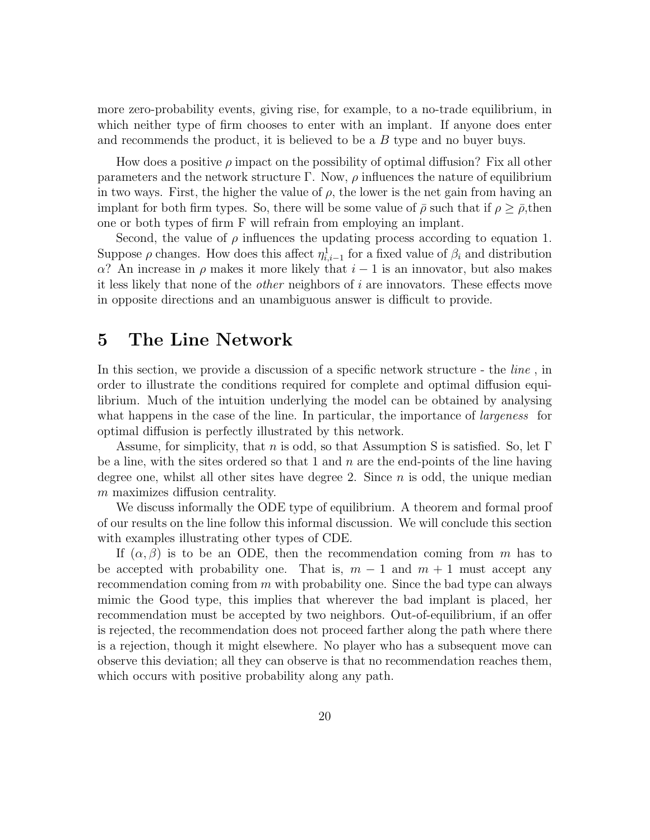more zero-probability events, giving rise, for example, to a no-trade equilibrium, in which neither type of firm chooses to enter with an implant. If anyone does enter and recommends the product, it is believed to be a B type and no buyer buys.

How does a positive  $\rho$  impact on the possibility of optimal diffusion? Fix all other parameters and the network structure  $\Gamma$ . Now,  $\rho$  influences the nature of equilibrium in two ways. First, the higher the value of  $\rho$ , the lower is the net gain from having an implant for both firm types. So, there will be some value of  $\bar{\rho}$  such that if  $\rho \geq \bar{\rho}$ , then one or both types of firm F will refrain from employing an implant.

Second, the value of  $\rho$  influences the updating process according to equation 1. Suppose  $\rho$  changes. How does this affect  $\eta_{i,i-1}^1$  for a fixed value of  $\beta_i$  and distribution α? An increase in  $ρ$  makes it more likely that  $i - 1$  is an innovator, but also makes it less likely that none of the other neighbors of i are innovators. These effects move in opposite directions and an unambiguous answer is difficult to provide.

### 5 The Line Network

In this section, we provide a discussion of a specific network structure - the *line*, in order to illustrate the conditions required for complete and optimal diffusion equilibrium. Much of the intuition underlying the model can be obtained by analysing what happens in the case of the line. In particular, the importance of *largeness* for optimal diffusion is perfectly illustrated by this network.

Assume, for simplicity, that n is odd, so that Assumption S is satisfied. So, let  $\Gamma$ be a line, with the sites ordered so that 1 and  $n$  are the end-points of the line having degree one, whilst all other sites have degree 2. Since  $n$  is odd, the unique median m maximizes diffusion centrality.

We discuss informally the ODE type of equilibrium. A theorem and formal proof of our results on the line follow this informal discussion. We will conclude this section with examples illustrating other types of CDE.

If  $(\alpha, \beta)$  is to be an ODE, then the recommendation coming from m has to be accepted with probability one. That is,  $m-1$  and  $m+1$  must accept any recommendation coming from  $m$  with probability one. Since the bad type can always mimic the Good type, this implies that wherever the bad implant is placed, her recommendation must be accepted by two neighbors. Out-of-equilibrium, if an offer is rejected, the recommendation does not proceed farther along the path where there is a rejection, though it might elsewhere. No player who has a subsequent move can observe this deviation; all they can observe is that no recommendation reaches them, which occurs with positive probability along any path.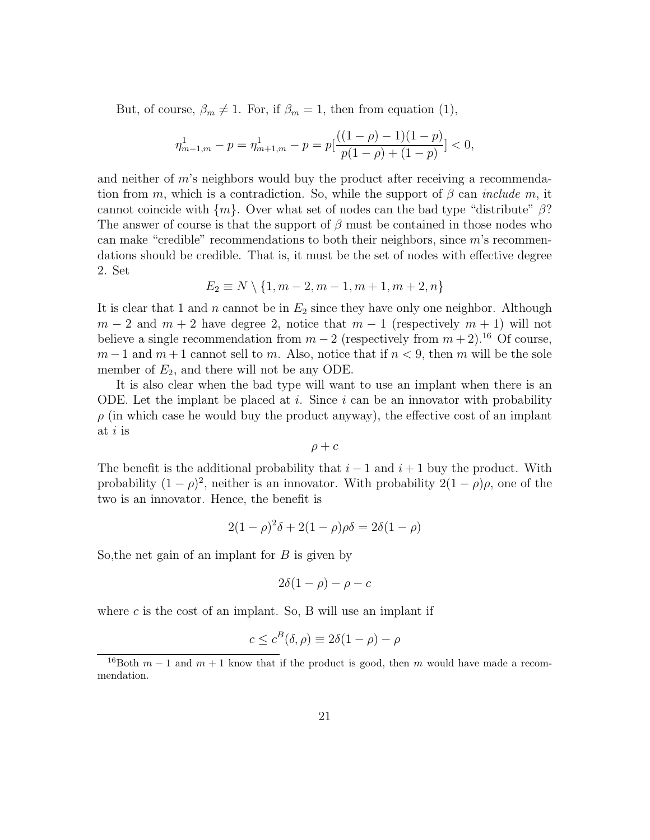But, of course,  $\beta_m \neq 1$ . For, if  $\beta_m = 1$ , then from equation (1),

$$
\eta^1_{m-1,m}-p=\eta^1_{m+1,m}-p=p[\frac{((1-\rho)-1)(1-p)}{p(1-\rho)+(1-p)}]<0,
$$

and neither of m's neighbors would buy the product after receiving a recommendation from m, which is a contradiction. So, while the support of  $\beta$  can *include m*, it cannot coincide with  $\{m\}$ . Over what set of nodes can the bad type "distribute"  $\beta$ ? The answer of course is that the support of  $\beta$  must be contained in those nodes who can make "credible" recommendations to both their neighbors, since m's recommendations should be credible. That is, it must be the set of nodes with effective degree 2. Set

$$
E_2 \equiv N \setminus \{1, m-2, m-1, m+1, m+2, n\}
$$

It is clear that 1 and n cannot be in  $E_2$  since they have only one neighbor. Although  $m-2$  and  $m+2$  have degree 2, notice that  $m-1$  (respectively  $m+1$ ) will not believe a single recommendation from  $m-2$  (respectively from  $m+2$ ).<sup>16</sup> Of course,  $m-1$  and  $m+1$  cannot sell to m. Also, notice that if  $n < 9$ , then m will be the sole member of  $E_2$ , and there will not be any ODE.

It is also clear when the bad type will want to use an implant when there is an ODE. Let the implant be placed at i. Since i can be an innovator with probability  $\rho$  (in which case he would buy the product anyway), the effective cost of an implant at  $i$  is

$$
\rho + c
$$

The benefit is the additional probability that  $i-1$  and  $i+1$  buy the product. With probability  $(1 - \rho)^2$ , neither is an innovator. With probability  $2(1 - \rho)\rho$ , one of the two is an innovator. Hence, the benefit is

$$
2(1 - \rho)^{2}\delta + 2(1 - \rho)\rho\delta = 2\delta(1 - \rho)
$$

So, the net gain of an implant for  $B$  is given by

$$
2\delta(1-\rho)-\rho-c
$$

where  $c$  is the cost of an implant. So, B will use an implant if

$$
c \le c^B(\delta, \rho) \equiv 2\delta(1 - \rho) - \rho
$$

<sup>&</sup>lt;sup>16</sup>Both  $m-1$  and  $m+1$  know that if the product is good, then m would have made a recommendation.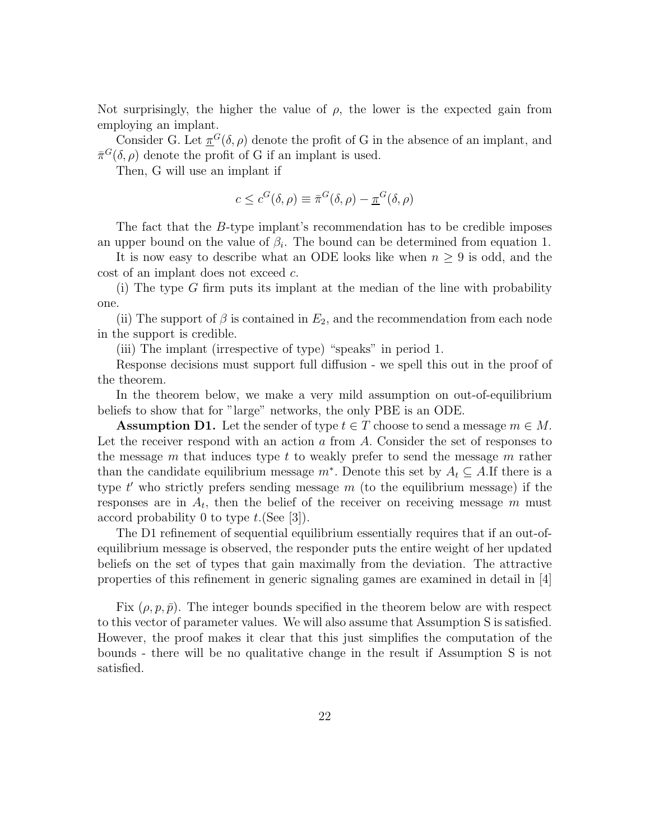Not surprisingly, the higher the value of  $\rho$ , the lower is the expected gain from employing an implant.

Consider G. Let  $\pi^{G}(\delta,\rho)$  denote the profit of G in the absence of an implant, and  $\bar{\pi}^G(\delta,\rho)$  denote the profit of G if an implant is used.

Then, G will use an implant if

$$
c \le c^G(\delta, \rho) \equiv \bar{\pi}^G(\delta, \rho) - \underline{\pi}^G(\delta, \rho)
$$

The fact that the B-type implant's recommendation has to be credible imposes an upper bound on the value of  $\beta_i$ . The bound can be determined from equation 1.

It is now easy to describe what an ODE looks like when  $n \geq 9$  is odd, and the cost of an implant does not exceed c.

(i) The type G firm puts its implant at the median of the line with probability one.

(ii) The support of  $\beta$  is contained in  $E_2$ , and the recommendation from each node in the support is credible.

(iii) The implant (irrespective of type) "speaks" in period 1.

Response decisions must support full diffusion - we spell this out in the proof of the theorem.

In the theorem below, we make a very mild assumption on out-of-equilibrium beliefs to show that for "large" networks, the only PBE is an ODE.

**Assumption D1.** Let the sender of type  $t \in T$  choose to send a message  $m \in M$ . Let the receiver respond with an action  $a$  from  $A$ . Consider the set of responses to the message m that induces type t to weakly prefer to send the message m rather than the candidate equilibrium message  $m^*$ . Denote this set by  $A_t \subseteq A$ . If there is a type  $t'$  who strictly prefers sending message  $m$  (to the equilibrium message) if the responses are in  $A_t$ , then the belief of the receiver on receiving message m must accord probability 0 to type  $t$ . (See [3]).

The D1 refinement of sequential equilibrium essentially requires that if an out-ofequilibrium message is observed, the responder puts the entire weight of her updated beliefs on the set of types that gain maximally from the deviation. The attractive properties of this refinement in generic signaling games are examined in detail in [4]

Fix  $(\rho, p, \bar{p})$ . The integer bounds specified in the theorem below are with respect to this vector of parameter values. We will also assume that Assumption S is satisfied. However, the proof makes it clear that this just simplifies the computation of the bounds - there will be no qualitative change in the result if Assumption S is not satisfied.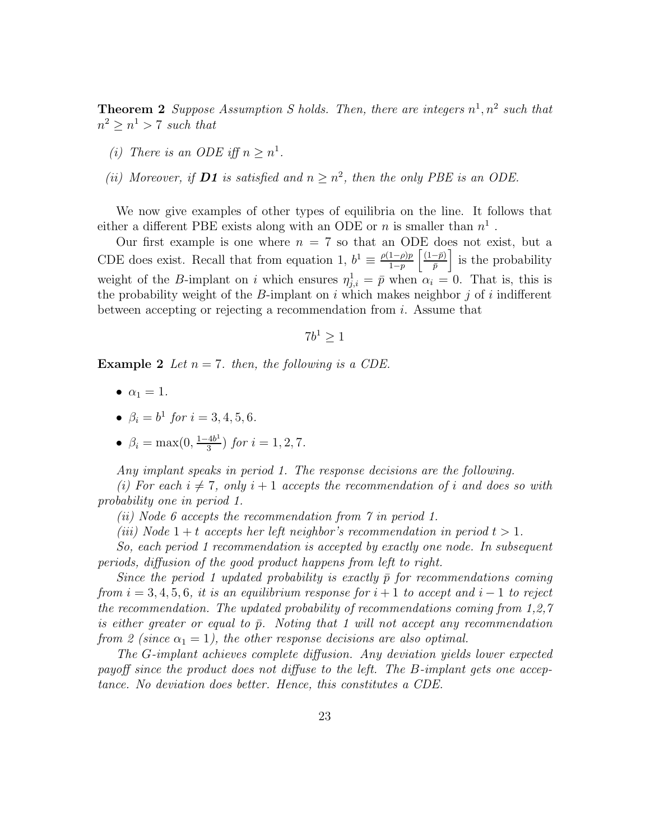**Theorem 2** Suppose Assumption S holds. Then, there are integers  $n^1, n^2$  such that  $n^2 \geq n^1 > 7$  such that

- (i) There is an ODE iff  $n \geq n^1$ .
- (ii) Moreover, if **D1** is satisfied and  $n \geq n^2$ , then the only PBE is an ODE.

We now give examples of other types of equilibria on the line. It follows that either a different PBE exists along with an ODE or n is smaller than  $n<sup>1</sup>$ .

Our first example is one where  $n = 7$  so that an ODE does not exist, but a CDE does exist. Recall that from equation 1,  $b^1 \equiv \frac{\rho(1-\rho)p}{1-\rho}$  $\frac{1-\rho)p}{1-p}$   $\left[\frac{(1-\bar{p})}{\bar{p}}\right]$  $\left(\frac{-\bar{p}}{\bar{p}}\right)$  is the probability weight of the B-implant on i which ensures  $\eta_{j,i}^1 = \bar{p}$  when  $\alpha_i = 0$ . That is, this is the probability weight of the B-implant on  $i$  which makes neighbor  $j$  of  $i$  indifferent between accepting or rejecting a recommendation from  $i$ . Assume that

$$
7b^1\geq 1
$$

**Example 2** Let  $n = 7$ , then, the following is a CDE.

- $\bullet \ \alpha_1 = 1.$
- $\beta_i = b^1$  for  $i = 3, 4, 5, 6$ .
- $\beta_i = \max(0, \frac{1-4b^1}{3})$  $\frac{4b^2}{3}$  for  $i = 1, 2, 7$ .

Any implant speaks in period 1. The response decisions are the following.

(i) For each  $i \neq 7$ , only  $i + 1$  accepts the recommendation of i and does so with probability one in period 1.

- (ii) Node 6 accepts the recommendation from 7 in period 1.
- (iii) Node  $1+t$  accepts her left neighbor's recommendation in period  $t > 1$ .

So, each period 1 recommendation is accepted by exactly one node. In subsequent periods, diffusion of the good product happens from left to right.

Since the period 1 updated probability is exactly  $\bar{p}$  for recommendations coming from  $i = 3, 4, 5, 6$ , it is an equilibrium response for  $i + 1$  to accept and  $i - 1$  to reject the recommendation. The updated probability of recommendations coming from 1,2,7 is either greater or equal to  $\bar{p}$ . Noting that 1 will not accept any recommendation from 2 (since  $\alpha_1 = 1$ ), the other response decisions are also optimal.

The G-implant achieves complete diffusion. Any deviation yields lower expected payoff since the product does not diffuse to the left. The B-implant gets one acceptance. No deviation does better. Hence, this constitutes a CDE.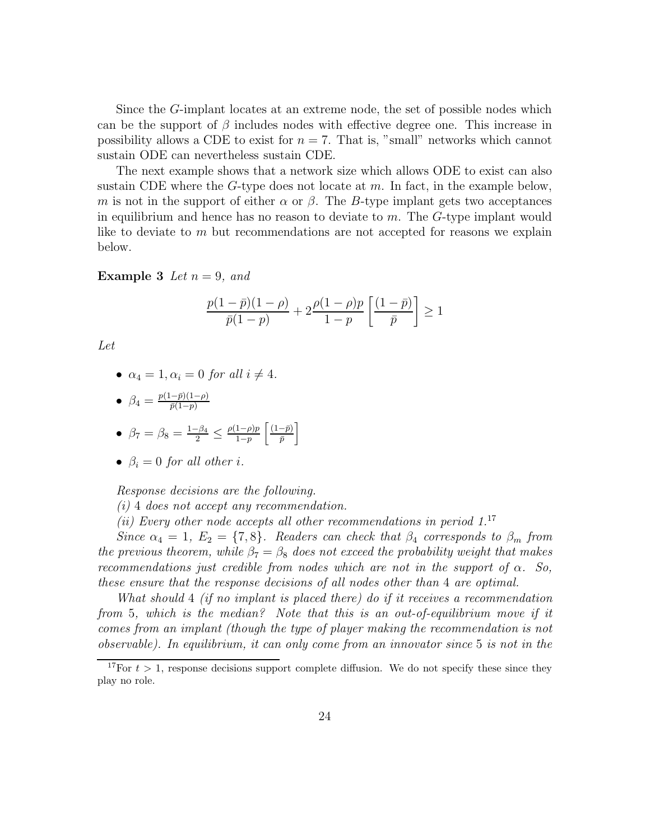Since the G-implant locates at an extreme node, the set of possible nodes which can be the support of  $\beta$  includes nodes with effective degree one. This increase in possibility allows a CDE to exist for  $n = 7$ . That is, "small" networks which cannot sustain ODE can nevertheless sustain CDE.

The next example shows that a network size which allows ODE to exist can also sustain CDE where the  $G$ -type does not locate at  $m$ . In fact, in the example below, m is not in the support of either  $\alpha$  or  $\beta$ . The B-type implant gets two acceptances in equilibrium and hence has no reason to deviate to  $m$ . The  $G$ -type implant would like to deviate to  $m$  but recommendations are not accepted for reasons we explain below.

**Example 3** Let  $n = 9$ , and

$$
\frac{p(1-\bar{p})(1-\rho)}{\bar{p}(1-p)} + 2\frac{\rho(1-\rho)p}{1-p} \left[ \frac{(1-\bar{p})}{\bar{p}} \right] \ge 1
$$

Let

•  $\alpha_4 = 1, \alpha_i = 0$  for all  $i \neq 4$ .

$$
\bullet\;\; \beta_4=\tfrac{p(1-\bar p)(1-\rho)}{\bar p(1-p)}
$$

• 
$$
\beta_7 = \beta_8 = \frac{1-\beta_4}{2} \leq \frac{\rho(1-\rho)p}{1-p} \left[ \frac{(1-\bar{p})}{\bar{p}} \right]
$$

•  $\beta_i = 0$  for all other i.

Response decisions are the following.

(i) 4 does not accept any recommendation.

(ii) Every other node accepts all other recommendations in period  $1^{17}$ 

Since  $\alpha_4 = 1, E_2 = \{7, 8\}.$  Readers can check that  $\beta_4$  corresponds to  $\beta_m$  from the previous theorem, while  $\beta_7 = \beta_8$  does not exceed the probability weight that makes recommendations just credible from nodes which are not in the support of  $\alpha$ . So, these ensure that the response decisions of all nodes other than 4 are optimal.

What should 4 (if no implant is placed there) do if it receives a recommendation from 5, which is the median? Note that this is an out-of-equilibrium move if it comes from an implant (though the type of player making the recommendation is not observable). In equilibrium, it can only come from an innovator since 5 is not in the

<sup>&</sup>lt;sup>17</sup>For  $t > 1$ , response decisions support complete diffusion. We do not specify these since they play no role.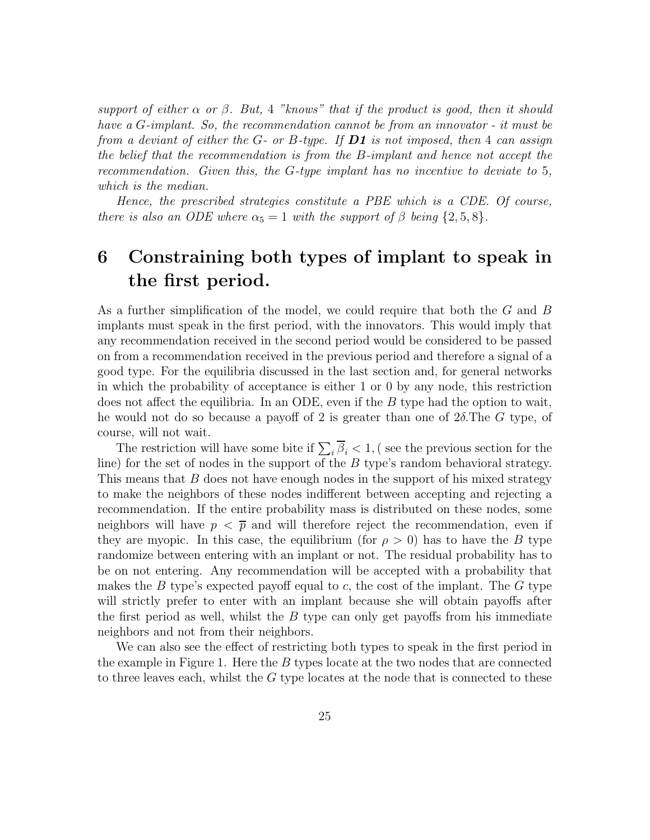support of either  $\alpha$  or  $\beta$ . But, 4 "knows" that if the product is good, then it should have a G-implant. So, the recommendation cannot be from an innovator - it must be from a deviant of either the G- or B-type. If  **is not imposed, then 4 can assign** the belief that the recommendation is from the B-implant and hence not accept the recommendation. Given this, the G-type implant has no incentive to deviate to 5, which is the median.

Hence, the prescribed strategies constitute a PBE which is a CDE. Of course, there is also an ODE where  $\alpha_5 = 1$  with the support of  $\beta$  being  $\{2, 5, 8\}.$ 

# 6 Constraining both types of implant to speak in the first period.

As a further simplification of the model, we could require that both the G and B implants must speak in the first period, with the innovators. This would imply that any recommendation received in the second period would be considered to be passed on from a recommendation received in the previous period and therefore a signal of a good type. For the equilibria discussed in the last section and, for general networks in which the probability of acceptance is either 1 or 0 by any node, this restriction does not affect the equilibria. In an ODE, even if the  $B$  type had the option to wait, he would not do so because a payoff of 2 is greater than one of  $2\delta$ . The G type, of course, will not wait.

The restriction will have some bite if  $\sum_i \beta_i < 1$ , (see the previous section for the line) for the set of nodes in the support of the B type's random behavioral strategy. This means that B does not have enough nodes in the support of his mixed strategy to make the neighbors of these nodes indifferent between accepting and rejecting a recommendation. If the entire probability mass is distributed on these nodes, some neighbors will have  $p < \overline{p}$  and will therefore reject the recommendation, even if they are myopic. In this case, the equilibrium (for  $\rho > 0$ ) has to have the B type randomize between entering with an implant or not. The residual probability has to be on not entering. Any recommendation will be accepted with a probability that makes the B type's expected payoff equal to c, the cost of the implant. The G type will strictly prefer to enter with an implant because she will obtain payoffs after the first period as well, whilst the  $B$  type can only get payoffs from his immediate neighbors and not from their neighbors.

We can also see the effect of restricting both types to speak in the first period in the example in Figure 1. Here the  $B$  types locate at the two nodes that are connected to three leaves each, whilst the  $G$  type locates at the node that is connected to these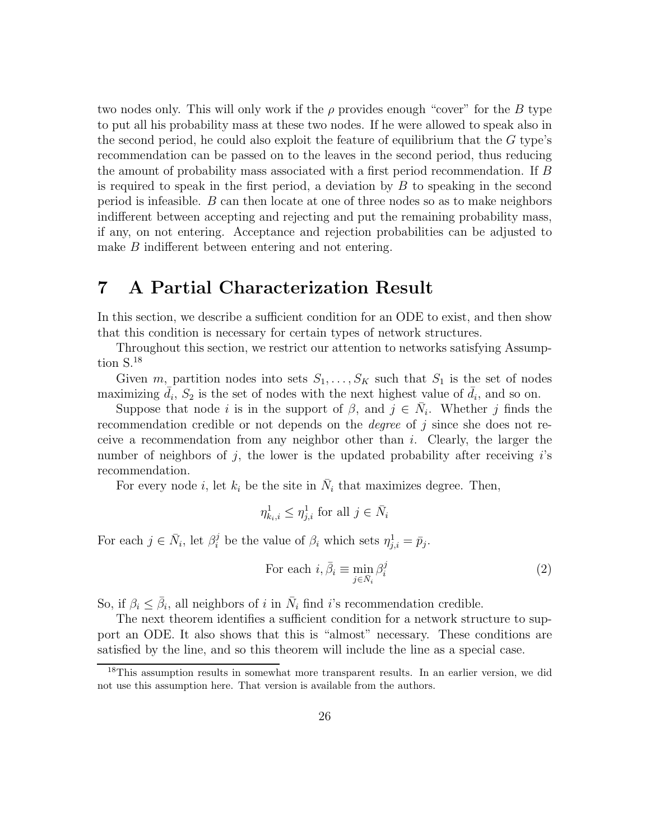two nodes only. This will only work if the  $\rho$  provides enough "cover" for the B type to put all his probability mass at these two nodes. If he were allowed to speak also in the second period, he could also exploit the feature of equilibrium that the  $G$  type's recommendation can be passed on to the leaves in the second period, thus reducing the amount of probability mass associated with a first period recommendation. If B is required to speak in the first period, a deviation by  $B$  to speaking in the second period is infeasible.  $B$  can then locate at one of three nodes so as to make neighbors indifferent between accepting and rejecting and put the remaining probability mass, if any, on not entering. Acceptance and rejection probabilities can be adjusted to make B indifferent between entering and not entering.

# 7 A Partial Characterization Result

In this section, we describe a sufficient condition for an ODE to exist, and then show that this condition is necessary for certain types of network structures.

Throughout this section, we restrict our attention to networks satisfying Assumption S.<sup>18</sup>

Given m, partition nodes into sets  $S_1, \ldots, S_K$  such that  $S_1$  is the set of nodes maximizing  $\bar{d}_i$ ,  $S_2$  is the set of nodes with the next highest value of  $\bar{d}_i$ , and so on.

Suppose that node *i* is in the support of  $\beta$ , and  $j \in \overline{N}_i$ . Whether *j* finds the recommendation credible or not depends on the *degree* of j since she does not receive a recommendation from any neighbor other than  $i$ . Clearly, the larger the number of neighbors of j, the lower is the updated probability after receiving  $i$ 's recommendation.

For every node *i*, let  $k_i$  be the site in  $\bar{N}_i$  that maximizes degree. Then,

$$
\eta_{k_i,i}^1 \leq \eta_{j,i}^1 \text{ for all } j \in \bar{N}_i
$$

For each  $j \in \bar{N}_i$ , let  $\beta_i^j$  be the value of  $\beta_i$  which sets  $\eta_{j,i}^1 = \bar{p}_j$ .

For each 
$$
i, \bar{\beta}_i \equiv \min_{j \in \bar{N}_i} \beta_i^j
$$
 (2)

So, if  $\beta_i \leq \bar{\beta}_i$ , all neighbors of *i* in  $\bar{N}_i$  find *i*'s recommendation credible.

The next theorem identifies a sufficient condition for a network structure to support an ODE. It also shows that this is "almost" necessary. These conditions are satisfied by the line, and so this theorem will include the line as a special case.

<sup>&</sup>lt;sup>18</sup>This assumption results in somewhat more transparent results. In an earlier version, we did not use this assumption here. That version is available from the authors.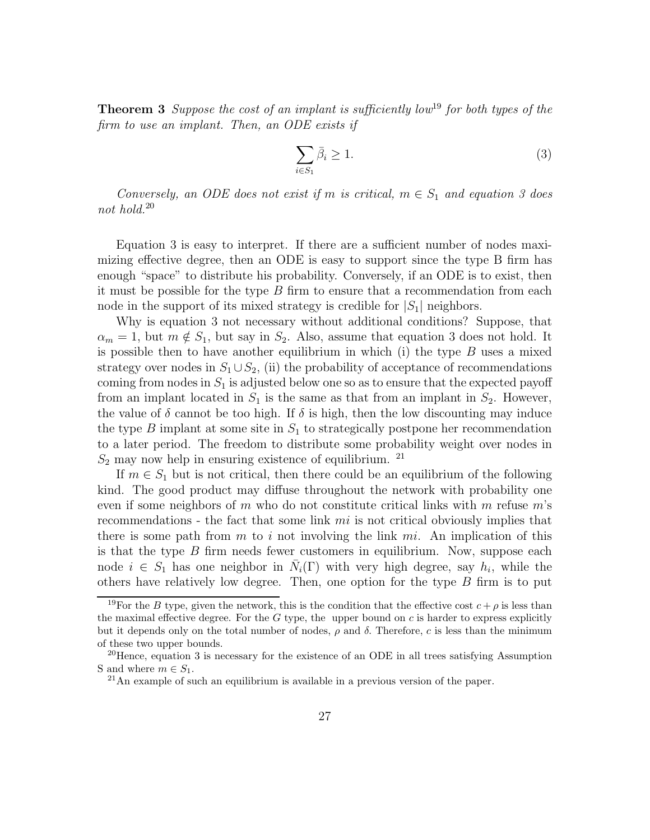**Theorem 3** Suppose the cost of an implant is sufficiently low<sup>19</sup> for both types of the firm to use an implant. Then, an ODE exists if

$$
\sum_{i \in S_1} \bar{\beta}_i \ge 1. \tag{3}
$$

Conversely, an ODE does not exist if m is critical,  $m \in S_1$  and equation 3 does not hold.<sup>20</sup>

Equation 3 is easy to interpret. If there are a sufficient number of nodes maximizing effective degree, then an ODE is easy to support since the type B firm has enough "space" to distribute his probability. Conversely, if an ODE is to exist, then it must be possible for the type  $B$  firm to ensure that a recommendation from each node in the support of its mixed strategy is credible for  $|S_1|$  neighbors.

Why is equation 3 not necessary without additional conditions? Suppose, that  $\alpha_m = 1$ , but  $m \notin S_1$ , but say in  $S_2$ . Also, assume that equation 3 does not hold. It is possible then to have another equilibrium in which (i) the type  $B$  uses a mixed strategy over nodes in  $S_1 \cup S_2$ , (ii) the probability of acceptance of recommendations coming from nodes in  $S_1$  is adjusted below one so as to ensure that the expected payoff from an implant located in  $S_1$  is the same as that from an implant in  $S_2$ . However, the value of  $\delta$  cannot be too high. If  $\delta$  is high, then the low discounting may induce the type  $B$  implant at some site in  $S_1$  to strategically postpone her recommendation to a later period. The freedom to distribute some probability weight over nodes in  $S_2$  may now help in ensuring existence of equilibrium. <sup>21</sup>

If  $m \in S_1$  but is not critical, then there could be an equilibrium of the following kind. The good product may diffuse throughout the network with probability one even if some neighbors of m who do not constitute critical links with m refuse  $m$ 's recommendations - the fact that some link  $mi$  is not critical obviously implies that there is some path from  $m$  to i not involving the link  $mi$ . An implication of this is that the type  $B$  firm needs fewer customers in equilibrium. Now, suppose each node  $i \in S_1$  has one neighbor in  $\bar{N}_i(\Gamma)$  with very high degree, say  $h_i$ , while the others have relatively low degree. Then, one option for the type  $B$  firm is to put

<sup>&</sup>lt;sup>19</sup>For the B type, given the network, this is the condition that the effective cost  $c + \rho$  is less than the maximal effective degree. For the  $G$  type, the upper bound on  $c$  is harder to express explicitly but it depends only on the total number of nodes,  $ρ$  and  $δ$ . Therefore, c is less than the minimum of these two upper bounds.

<sup>&</sup>lt;sup>20</sup>Hence, equation 3 is necessary for the existence of an ODE in all trees satisfying Assumption S and where  $m \in S_1$ .

<sup>21</sup>An example of such an equilibrium is available in a previous version of the paper.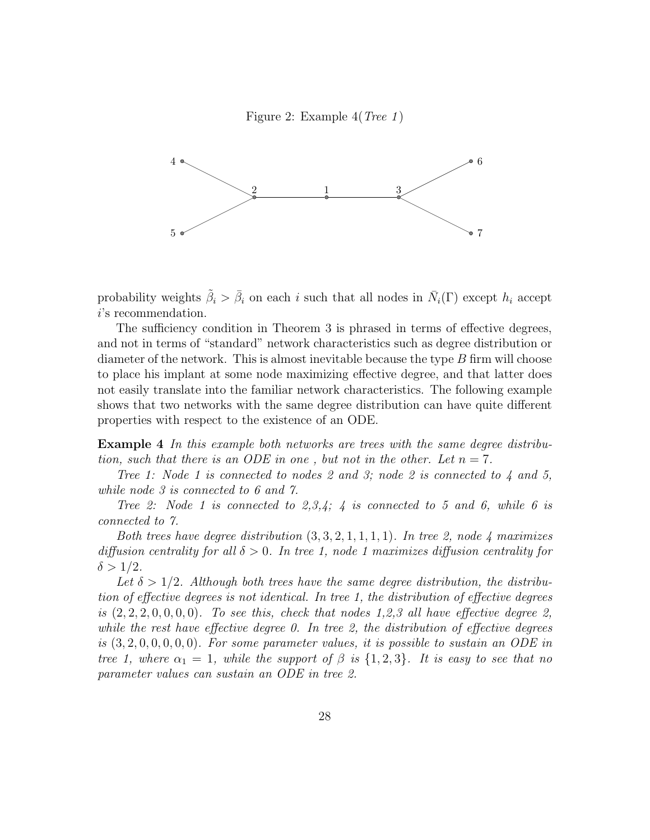Figure 2: Example 4(Tree 1 )



probability weights  $\tilde{\beta}_i > \bar{\beta}_i$  on each i such that all nodes in  $\bar{N}_i(\Gamma)$  except  $h_i$  accept i's recommendation.

The sufficiency condition in Theorem 3 is phrased in terms of effective degrees, and not in terms of "standard" network characteristics such as degree distribution or diameter of the network. This is almost inevitable because the type  $B$  firm will choose to place his implant at some node maximizing effective degree, and that latter does not easily translate into the familiar network characteristics. The following example shows that two networks with the same degree distribution can have quite different properties with respect to the existence of an ODE.

Example 4 In this example both networks are trees with the same degree distribution, such that there is an ODE in one, but not in the other. Let  $n = 7$ .

Tree 1: Node 1 is connected to nodes 2 and 3; node 2 is connected to  $\lambda$  and 5, while node 3 is connected to 6 and 7.

Tree 2: Node 1 is connected to 2,3,4; 4 is connected to 5 and 6, while 6 is connected to 7.

Both trees have degree distribution  $(3, 3, 2, 1, 1, 1, 1)$ . In tree 2, node 4 maximizes diffusion centrality for all  $\delta > 0$ . In tree 1, node 1 maximizes diffusion centrality for  $\delta > 1/2$ .

Let  $\delta > 1/2$ . Although both trees have the same degree distribution, the distribution of effective degrees is not identical. In tree 1, the distribution of effective degrees is  $(2, 2, 2, 0, 0, 0, 0)$ . To see this, check that nodes 1,2,3 all have effective degree 2, while the rest have effective degree 0. In tree 2, the distribution of effective degrees is  $(3, 2, 0, 0, 0, 0, 0)$ . For some parameter values, it is possible to sustain an ODE in tree 1, where  $\alpha_1 = 1$ , while the support of  $\beta$  is  $\{1, 2, 3\}$ . It is easy to see that no parameter values can sustain an ODE in tree 2.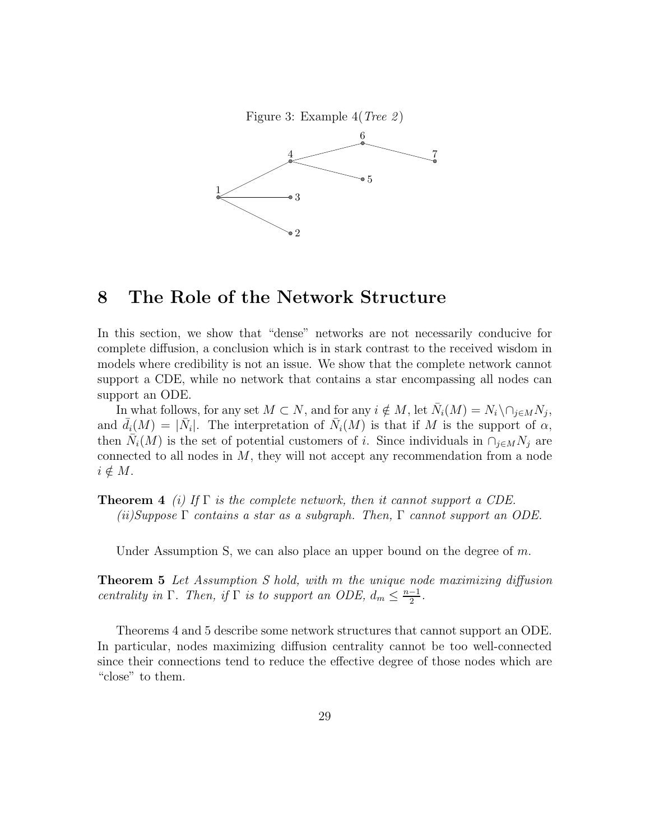

### 8 The Role of the Network Structure

In this section, we show that "dense" networks are not necessarily conducive for complete diffusion, a conclusion which is in stark contrast to the received wisdom in models where credibility is not an issue. We show that the complete network cannot support a CDE, while no network that contains a star encompassing all nodes can support an ODE.

In what follows, for any set  $M \subset N$ , and for any  $i \notin M$ , let  $\overline{N}_i(M) = N_i \setminus \cap_{j \in M} N_j$ , and  $\bar{d}_i(M) = |\bar{N}_i|$ . The interpretation of  $\bar{N}_i(M)$  is that if M is the support of  $\alpha$ , then  $\bar{N}_i(M)$  is the set of potential customers of i. Since individuals in  $\cap_{j\in M}N_j$  are connected to all nodes in  $M$ , they will not accept any recommendation from a node  $i \notin M$ .

**Theorem 4** (i) If  $\Gamma$  is the complete network, then it cannot support a CDE. (ii)Suppose  $\Gamma$  contains a star as a subgraph. Then,  $\Gamma$  cannot support an ODE.

Under Assumption S, we can also place an upper bound on the degree of m.

Theorem 5 Let Assumption S hold, with m the unique node maximizing diffusion centrality in  $\Gamma$ . Then, if  $\Gamma$  is to support an ODE,  $d_m \leq \frac{n-1}{2}$  $\frac{-1}{2}$ .

Theorems 4 and 5 describe some network structures that cannot support an ODE. In particular, nodes maximizing diffusion centrality cannot be too well-connected since their connections tend to reduce the effective degree of those nodes which are "close" to them.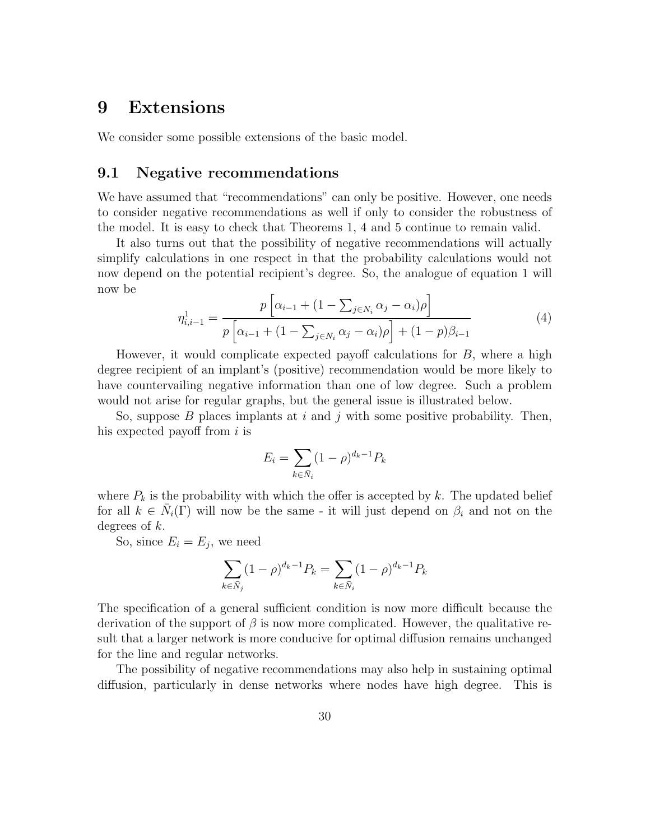## 9 Extensions

We consider some possible extensions of the basic model.

### 9.1 Negative recommendations

We have assumed that "recommendations" can only be positive. However, one needs to consider negative recommendations as well if only to consider the robustness of the model. It is easy to check that Theorems 1, 4 and 5 continue to remain valid.

It also turns out that the possibility of negative recommendations will actually simplify calculations in one respect in that the probability calculations would not now depend on the potential recipient's degree. So, the analogue of equation 1 will now be

$$
\eta_{i,i-1}^1 = \frac{p\left[\alpha_{i-1} + (1 - \sum_{j \in N_i} \alpha_j - \alpha_i)\rho\right]}{p\left[\alpha_{i-1} + (1 - \sum_{j \in N_i} \alpha_j - \alpha_i)\rho\right] + (1 - p)\beta_{i-1}}\tag{4}
$$

However, it would complicate expected payoff calculations for  $B$ , where a high degree recipient of an implant's (positive) recommendation would be more likely to have countervailing negative information than one of low degree. Such a problem would not arise for regular graphs, but the general issue is illustrated below.

So, suppose  $B$  places implants at i and j with some positive probability. Then, his expected payoff from  $i$  is

$$
E_i = \sum_{k \in \bar{N}_i} (1 - \rho)^{d_k - 1} P_k
$$

where  $P_k$  is the probability with which the offer is accepted by k. The updated belief for all  $k \in \overline{N}_i(\Gamma)$  will now be the same - it will just depend on  $\beta_i$  and not on the degrees of k.

So, since  $E_i = E_j$ , we need

$$
\sum_{k \in \bar{N}_j} (1 - \rho)^{d_k - 1} P_k = \sum_{k \in \bar{N}_i} (1 - \rho)^{d_k - 1} P_k
$$

The specification of a general sufficient condition is now more difficult because the derivation of the support of  $\beta$  is now more complicated. However, the qualitative result that a larger network is more conducive for optimal diffusion remains unchanged for the line and regular networks.

The possibility of negative recommendations may also help in sustaining optimal diffusion, particularly in dense networks where nodes have high degree. This is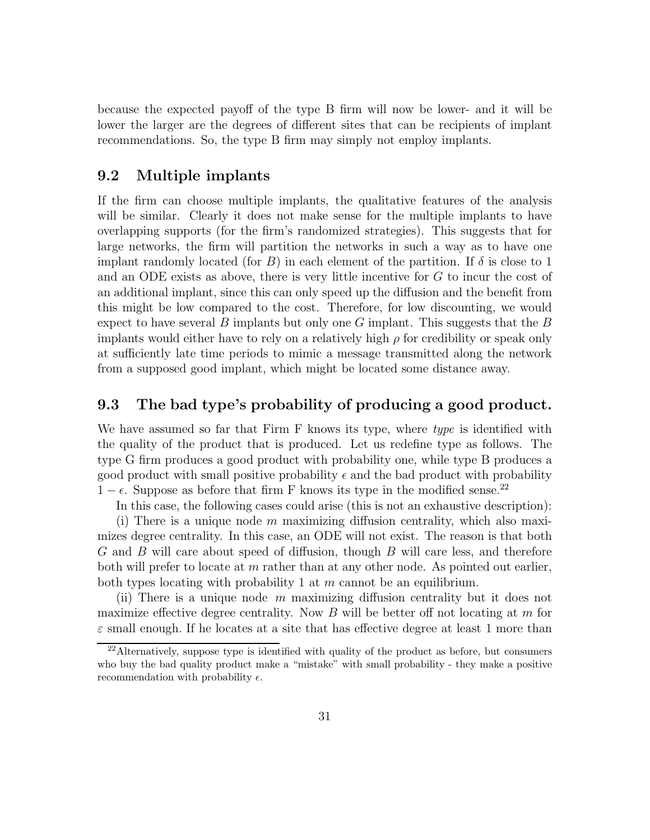because the expected payoff of the type B firm will now be lower- and it will be lower the larger are the degrees of different sites that can be recipients of implant recommendations. So, the type B firm may simply not employ implants.

### 9.2 Multiple implants

If the firm can choose multiple implants, the qualitative features of the analysis will be similar. Clearly it does not make sense for the multiple implants to have overlapping supports (for the firm's randomized strategies). This suggests that for large networks, the firm will partition the networks in such a way as to have one implant randomly located (for B) in each element of the partition. If  $\delta$  is close to 1 and an ODE exists as above, there is very little incentive for G to incur the cost of an additional implant, since this can only speed up the diffusion and the benefit from this might be low compared to the cost. Therefore, for low discounting, we would expect to have several B implants but only one G implant. This suggests that the B implants would either have to rely on a relatively high  $\rho$  for credibility or speak only at sufficiently late time periods to mimic a message transmitted along the network from a supposed good implant, which might be located some distance away.

### 9.3 The bad type's probability of producing a good product.

We have assumed so far that Firm F knows its type, where type is identified with the quality of the product that is produced. Let us redefine type as follows. The type G firm produces a good product with probability one, while type B produces a good product with small positive probability  $\epsilon$  and the bad product with probability  $1 - \epsilon$ . Suppose as before that firm F knows its type in the modified sense.<sup>22</sup>

In this case, the following cases could arise (this is not an exhaustive description):

(i) There is a unique node  $m$  maximizing diffusion centrality, which also maximizes degree centrality. In this case, an ODE will not exist. The reason is that both G and B will care about speed of diffusion, though B will care less, and therefore both will prefer to locate at  $m$  rather than at any other node. As pointed out earlier, both types locating with probability 1 at  $m$  cannot be an equilibrium.

(ii) There is a unique node m maximizing diffusion centrality but it does not maximize effective degree centrality. Now  $B$  will be better off not locating at  $m$  for  $\varepsilon$  small enough. If he locates at a site that has effective degree at least 1 more than

 $22$ Alternatively, suppose type is identified with quality of the product as before, but consumers who buy the bad quality product make a "mistake" with small probability - they make a positive recommendation with probability  $\epsilon$ .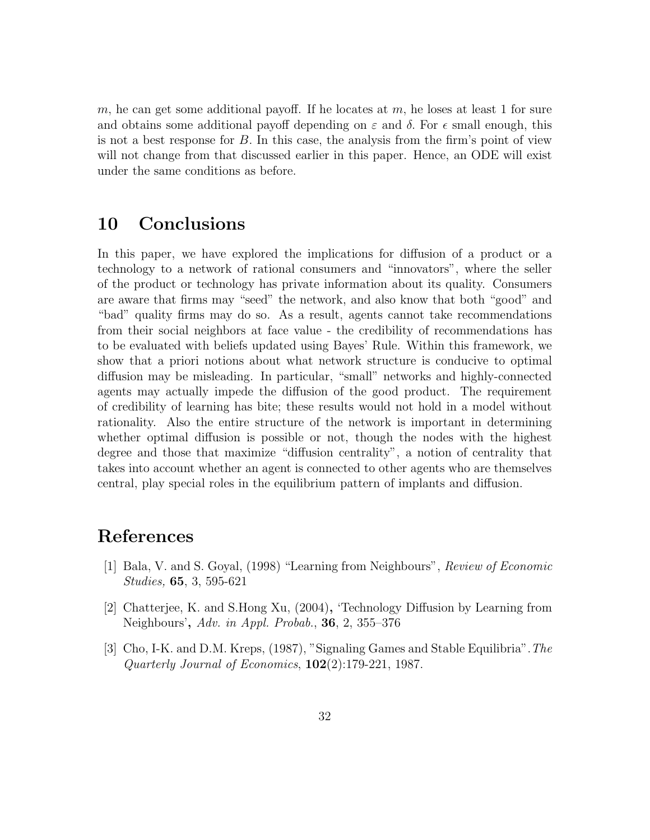m, he can get some additional payoff. If he locates at  $m$ , he loses at least 1 for sure and obtains some additional payoff depending on  $\varepsilon$  and  $\delta$ . For  $\epsilon$  small enough, this is not a best response for  $B$ . In this case, the analysis from the firm's point of view will not change from that discussed earlier in this paper. Hence, an ODE will exist under the same conditions as before.

## 10 Conclusions

In this paper, we have explored the implications for diffusion of a product or a technology to a network of rational consumers and "innovators", where the seller of the product or technology has private information about its quality. Consumers are aware that firms may "seed" the network, and also know that both "good" and "bad" quality firms may do so. As a result, agents cannot take recommendations from their social neighbors at face value - the credibility of recommendations has to be evaluated with beliefs updated using Bayes' Rule. Within this framework, we show that a priori notions about what network structure is conducive to optimal diffusion may be misleading. In particular, "small" networks and highly-connected agents may actually impede the diffusion of the good product. The requirement of credibility of learning has bite; these results would not hold in a model without rationality. Also the entire structure of the network is important in determining whether optimal diffusion is possible or not, though the nodes with the highest degree and those that maximize "diffusion centrality", a notion of centrality that takes into account whether an agent is connected to other agents who are themselves central, play special roles in the equilibrium pattern of implants and diffusion.

### References

- [1] Bala, V. and S. Goyal, (1998) "Learning from Neighbours", Review of Economic Studies, 65, 3, 595-621
- [2] Chatterjee, K. and S.Hong Xu, (2004), 'Technology Diffusion by Learning from Neighbours', Adv. in Appl. Probab., 36, 2, 355–376
- [3] Cho, I-K. and D.M. Kreps, (1987), "Signaling Games and Stable Equilibria".The Quarterly Journal of Economics,  $102(2)$ :179-221, 1987.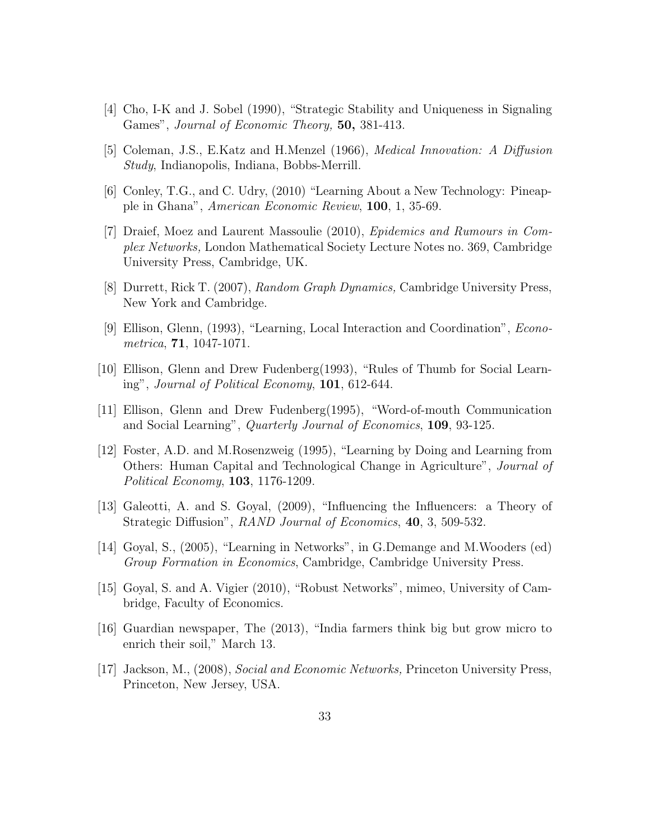- [4] Cho, I-K and J. Sobel (1990), "Strategic Stability and Uniqueness in Signaling Games", Journal of Economic Theory, 50, 381-413.
- [5] Coleman, J.S., E.Katz and H.Menzel (1966), Medical Innovation: A Diffusion Study, Indianopolis, Indiana, Bobbs-Merrill.
- [6] Conley, T.G., and C. Udry, (2010) "Learning About a New Technology: Pineapple in Ghana", American Economic Review, 100, 1, 35-69.
- [7] Draief, Moez and Laurent Massoulie (2010), Epidemics and Rumours in Complex Networks, London Mathematical Society Lecture Notes no. 369, Cambridge University Press, Cambridge, UK.
- [8] Durrett, Rick T. (2007), Random Graph Dynamics, Cambridge University Press, New York and Cambridge.
- [9] Ellison, Glenn, (1993), "Learning, Local Interaction and Coordination", Econometrica, 71, 1047-1071.
- [10] Ellison, Glenn and Drew Fudenberg(1993), "Rules of Thumb for Social Learning", Journal of Political Economy, 101, 612-644.
- [11] Ellison, Glenn and Drew Fudenberg(1995), "Word-of-mouth Communication and Social Learning", Quarterly Journal of Economics, 109, 93-125.
- [12] Foster, A.D. and M.Rosenzweig (1995), "Learning by Doing and Learning from Others: Human Capital and Technological Change in Agriculture", Journal of Political Economy, 103, 1176-1209.
- [13] Galeotti, A. and S. Goyal, (2009), "Influencing the Influencers: a Theory of Strategic Diffusion", *RAND Journal of Economics*, **40**, 3, 509-532.
- [14] Goyal, S., (2005), "Learning in Networks", in G.Demange and M.Wooders (ed) Group Formation in Economics, Cambridge, Cambridge University Press.
- [15] Goyal, S. and A. Vigier (2010), "Robust Networks", mimeo, University of Cambridge, Faculty of Economics.
- [16] Guardian newspaper, The (2013), "India farmers think big but grow micro to enrich their soil," March 13.
- [17] Jackson, M., (2008), Social and Economic Networks, Princeton University Press, Princeton, New Jersey, USA.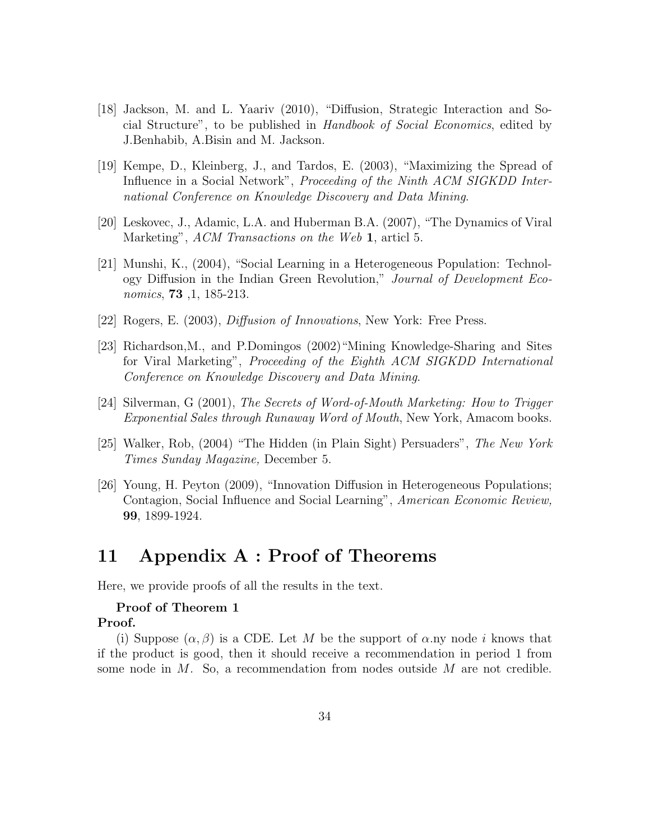- [18] Jackson, M. and L. Yaariv (2010), "Diffusion, Strategic Interaction and Social Structure", to be published in Handbook of Social Economics, edited by J.Benhabib, A.Bisin and M. Jackson.
- [19] Kempe, D., Kleinberg, J., and Tardos, E. (2003), "Maximizing the Spread of Influence in a Social Network", *Proceeding of the Ninth ACM SIGKDD Inter*national Conference on Knowledge Discovery and Data Mining.
- [20] Leskovec, J., Adamic, L.A. and Huberman B.A. (2007), "The Dynamics of Viral Marketing", ACM Transactions on the Web 1, articl 5.
- [21] Munshi, K., (2004), "Social Learning in a Heterogeneous Population: Technology Diffusion in the Indian Green Revolution," Journal of Development Economics, 73 ,1, 185-213.
- [22] Rogers, E. (2003), Diffusion of Innovations, New York: Free Press.
- [23] Richardson,M., and P.Domingos (2002)"Mining Knowledge-Sharing and Sites for Viral Marketing", Proceeding of the Eighth ACM SIGKDD International Conference on Knowledge Discovery and Data Mining.
- [24] Silverman, G (2001), The Secrets of Word-of-Mouth Marketing: How to Trigger Exponential Sales through Runaway Word of Mouth, New York, Amacom books.
- [25] Walker, Rob, (2004) "The Hidden (in Plain Sight) Persuaders", The New York Times Sunday Magazine, December 5.
- [26] Young, H. Peyton (2009), "Innovation Diffusion in Heterogeneous Populations; Contagion, Social Influence and Social Learning", American Economic Review, 99, 1899-1924.

# 11 Appendix A : Proof of Theorems

Here, we provide proofs of all the results in the text.

### Proof of Theorem 1

#### Proof.

(i) Suppose  $(\alpha, \beta)$  is a CDE. Let M be the support of  $\alpha$ .ny node i knows that if the product is good, then it should receive a recommendation in period 1 from some node in  $M$ . So, a recommendation from nodes outside  $M$  are not credible.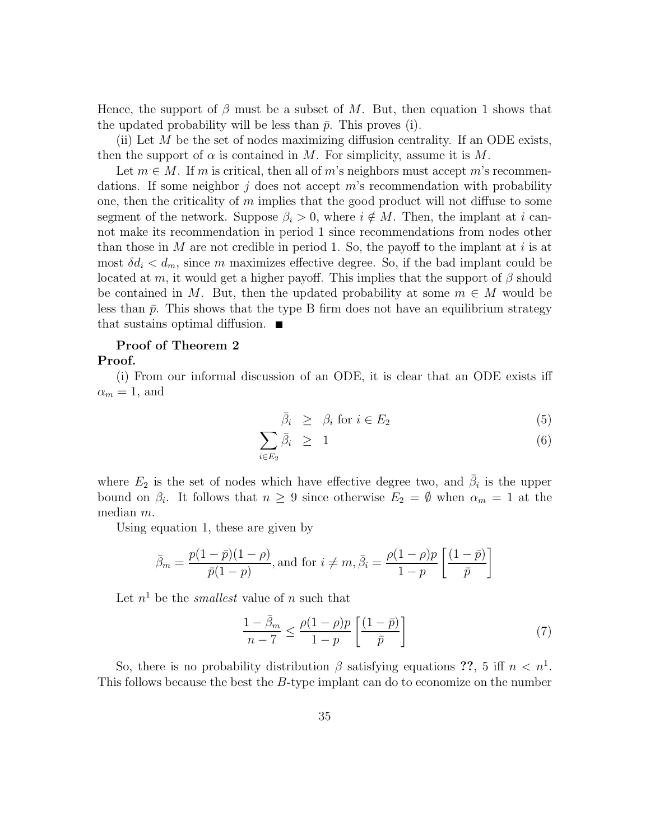Hence, the support of  $\beta$  must be a subset of M. But, then equation 1 shows that the updated probability will be less than  $\bar{p}$ . This proves (i).

(ii) Let  $M$  be the set of nodes maximizing diffusion centrality. If an ODE exists, then the support of  $\alpha$  is contained in M. For simplicity, assume it is M.

Let  $m \in M$ . If m is critical, then all of m's neighbors must accept m's recommendations. If some neighbor  $j$  does not accept  $m$ 's recommendation with probability one, then the criticality of  $m$  implies that the good product will not diffuse to some segment of the network. Suppose  $\beta_i > 0$ , where  $i \notin M$ . Then, the implant at i cannot make its recommendation in period 1 since recommendations from nodes other than those in M are not credible in period 1. So, the payoff to the implant at i is at most  $\delta d_i < d_m$ , since m maximizes effective degree. So, if the bad implant could be located at m, it would get a higher payoff. This implies that the support of  $\beta$  should be contained in M. But, then the updated probability at some  $m \in M$  would be less than  $\bar{p}$ . This shows that the type B firm does not have an equilibrium strategy that sustains optimal diffusion.  $\blacksquare$ 

#### Proof of Theorem 2

#### Proof.

(i) From our informal discussion of an ODE, it is clear that an ODE exists iff  $\alpha_m = 1$ , and

$$
\bar{\beta}_i \geq \beta_i \text{ for } i \in E_2 \tag{5}
$$

$$
\sum_{i \in E_2} \bar{\beta}_i \geq 1 \tag{6}
$$

where  $E_2$  is the set of nodes which have effective degree two, and  $\bar{\beta}_i$  is the upper bound on  $\beta_i$ . It follows that  $n \geq 9$  since otherwise  $E_2 = \emptyset$  when  $\alpha_m = 1$  at the median m.

Using equation 1, these are given by

$$
\bar{\beta}_m = \frac{p(1-\bar{p})(1-\rho)}{\bar{p}(1-p)}, \text{and for } i \neq m, \bar{\beta}_i = \frac{\rho(1-\rho)p}{1-p} \left[ \frac{(1-\bar{p})}{\bar{p}} \right]
$$

Let  $n<sup>1</sup>$  be the *smallest* value of n such that

$$
\frac{1-\bar{\beta}_m}{n-7} \le \frac{\rho(1-\rho)p}{1-p} \left[ \frac{(1-\bar{p})}{\bar{p}} \right] \tag{7}
$$

So, there is no probability distribution  $\beta$  satisfying equations ??, 5 iff  $n < n^1$ . This follows because the best the B-type implant can do to economize on the number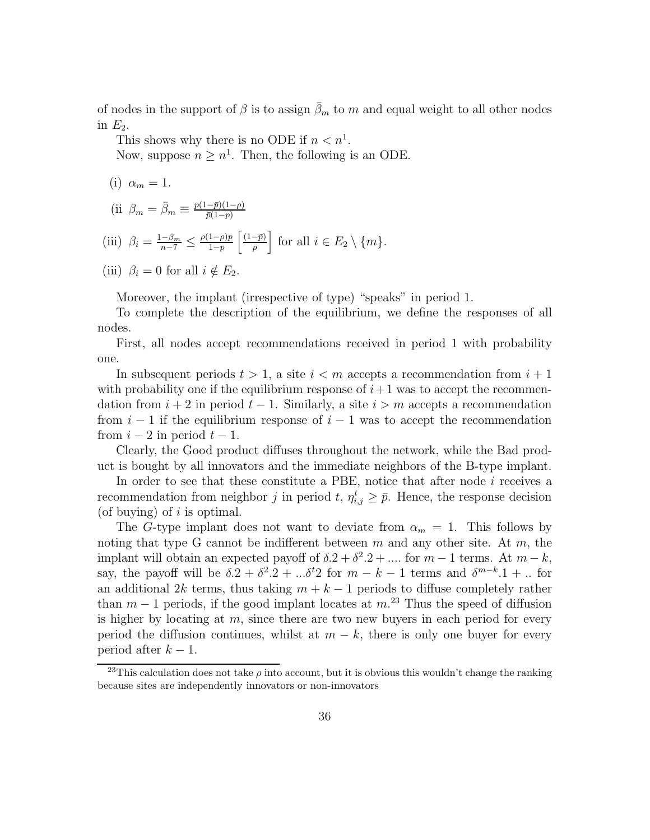of nodes in the support of  $\beta$  is to assign  $\bar{\beta}_m$  to m and equal weight to all other nodes in  $E_2$ .

This shows why there is no ODE if  $n < n<sup>1</sup>$ .

Now, suppose  $n \geq n^1$ . Then, the following is an ODE.

$$
(i) \ \alpha_m = 1.
$$

(ii 
$$
\beta_m = \overline{\beta}_m \equiv \frac{p(1-\overline{p})(1-\rho)}{\overline{p}(1-p)}
$$

(iii) 
$$
\beta_i = \frac{1-\beta_m}{n-7} \leq \frac{\rho(1-\rho)p}{1-p} \left[ \frac{(1-\bar{p})}{\bar{p}} \right]
$$
 for all  $i \in E_2 \setminus \{m\}$ .

(iii) 
$$
\beta_i = 0
$$
 for all  $i \notin E_2$ .

Moreover, the implant (irrespective of type) "speaks" in period 1.

To complete the description of the equilibrium, we define the responses of all nodes.

First, all nodes accept recommendations received in period 1 with probability one.

In subsequent periods  $t > 1$ , a site  $i < m$  accepts a recommendation from  $i + 1$ with probability one if the equilibrium response of  $i+1$  was to accept the recommendation from  $i + 2$  in period  $t - 1$ . Similarly, a site  $i > m$  accepts a recommendation from  $i-1$  if the equilibrium response of  $i-1$  was to accept the recommendation from  $i-2$  in period  $t-1$ .

Clearly, the Good product diffuses throughout the network, while the Bad product is bought by all innovators and the immediate neighbors of the B-type implant.

In order to see that these constitute a PBE, notice that after node i receives a recommendation from neighbor j in period t,  $\eta_{i,j}^t \geq \bar{p}$ . Hence, the response decision (of buying) of  $i$  is optimal.

The G-type implant does not want to deviate from  $\alpha_m = 1$ . This follows by noting that type G cannot be indifferent between  $m$  and any other site. At  $m$ , the implant will obtain an expected payoff of  $\delta.2 + \delta^2.2 + \dots$  for  $m-1$  terms. At  $m-k$ , say, the payoff will be  $\delta.2 + \delta^2.2 + \ldots + \delta^2$  for  $m - k - 1$  terms and  $\delta^{m-k} . 1 + \ldots$  for an additional 2k terms, thus taking  $m + k - 1$  periods to diffuse completely rather than  $m-1$  periods, if the good implant locates at  $m^{23}$ . Thus the speed of diffusion is higher by locating at  $m$ , since there are two new buyers in each period for every period the diffusion continues, whilst at  $m - k$ , there is only one buyer for every period after  $k-1$ .

<sup>&</sup>lt;sup>23</sup>This calculation does not take  $\rho$  into account, but it is obvious this wouldn't change the ranking because sites are independently innovators or non-innovators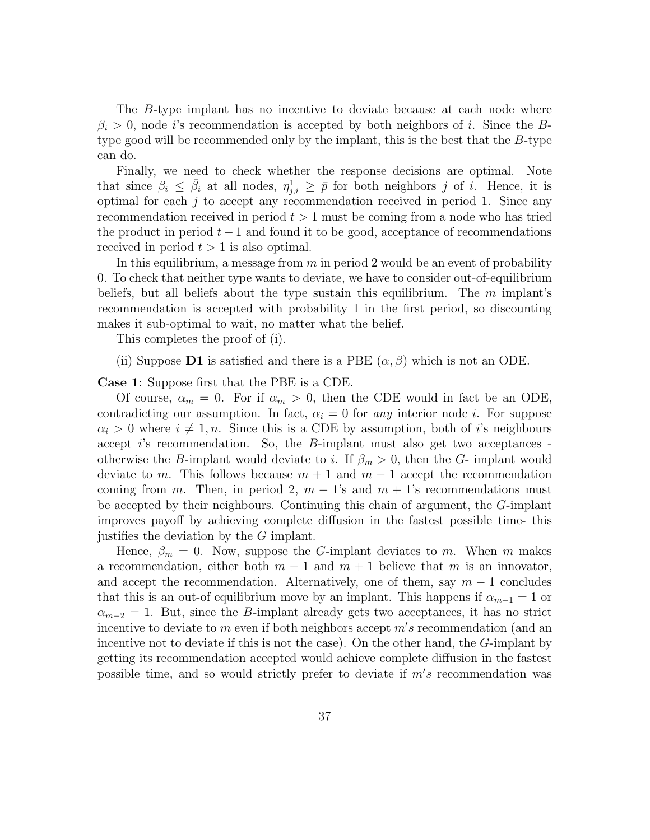The B-type implant has no incentive to deviate because at each node where  $\beta_i > 0$ , node *i*'s recommendation is accepted by both neighbors of *i*. Since the Btype good will be recommended only by the implant, this is the best that the B-type can do.

Finally, we need to check whether the response decisions are optimal. Note that since  $\beta_i \leq \bar{\beta}_i$  at all nodes,  $\eta_{j,i}^1 \geq \bar{p}$  for both neighbors j of i. Hence, it is optimal for each  $j$  to accept any recommendation received in period 1. Since any recommendation received in period  $t > 1$  must be coming from a node who has tried the product in period  $t-1$  and found it to be good, acceptance of recommendations received in period  $t > 1$  is also optimal.

In this equilibrium, a message from  $m$  in period 2 would be an event of probability 0. To check that neither type wants to deviate, we have to consider out-of-equilibrium beliefs, but all beliefs about the type sustain this equilibrium. The  $m$  implant's recommendation is accepted with probability 1 in the first period, so discounting makes it sub-optimal to wait, no matter what the belief.

This completes the proof of (i).

(ii) Suppose D1 is satisfied and there is a PBE  $(\alpha, \beta)$  which is not an ODE.

Case 1: Suppose first that the PBE is a CDE.

Of course,  $\alpha_m = 0$ . For if  $\alpha_m > 0$ , then the CDE would in fact be an ODE, contradicting our assumption. In fact,  $\alpha_i = 0$  for any interior node i. For suppose  $\alpha_i > 0$  where  $i \neq 1, n$ . Since this is a CDE by assumption, both of i's neighbours accept i's recommendation. So, the B-implant must also get two acceptances otherwise the B-implant would deviate to i. If  $\beta_m > 0$ , then the G- implant would deviate to m. This follows because  $m + 1$  and  $m - 1$  accept the recommendation coming from m. Then, in period 2,  $m-1$ 's and  $m+1$ 's recommendations must be accepted by their neighbours. Continuing this chain of argument, the G-implant improves payoff by achieving complete diffusion in the fastest possible time- this justifies the deviation by the G implant.

Hence,  $\beta_m = 0$ . Now, suppose the G-implant deviates to m. When m makes a recommendation, either both  $m-1$  and  $m+1$  believe that m is an innovator, and accept the recommendation. Alternatively, one of them, say  $m-1$  concludes that this is an out-of equilibrium move by an implant. This happens if  $\alpha_{m-1} = 1$  or  $\alpha_{m-2} = 1$ . But, since the B-implant already gets two acceptances, it has no strict incentive to deviate to  $m$  even if both neighbors accept  $m's$  recommendation (and an incentive not to deviate if this is not the case). On the other hand, the G-implant by getting its recommendation accepted would achieve complete diffusion in the fastest possible time, and so would strictly prefer to deviate if  $m's$  recommendation was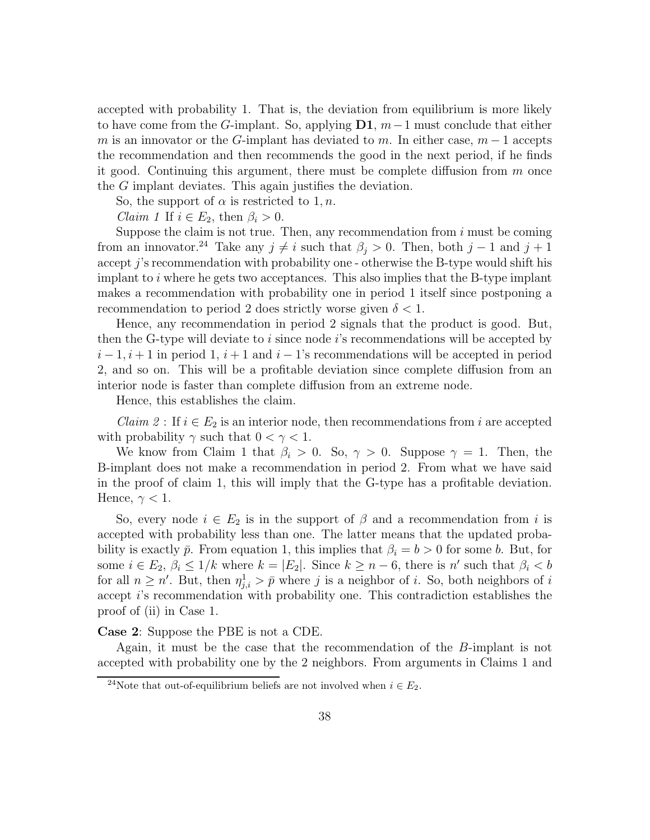accepted with probability 1. That is, the deviation from equilibrium is more likely to have come from the G-implant. So, applying  $\mathbf{D1}, m-1$  must conclude that either m is an innovator or the G-implant has deviated to m. In either case,  $m-1$  accepts the recommendation and then recommends the good in the next period, if he finds it good. Continuing this argument, there must be complete diffusion from  $m$  once the G implant deviates. This again justifies the deviation.

So, the support of  $\alpha$  is restricted to 1, n.

*Claim 1* If  $i \in E_2$ , then  $\beta_i > 0$ .

Suppose the claim is not true. Then, any recommendation from  $i$  must be coming from an innovator.<sup>24</sup> Take any  $j \neq i$  such that  $\beta_j > 0$ . Then, both  $j - 1$  and  $j + 1$ accept  $j$ 's recommendation with probability one - otherwise the B-type would shift his implant to  $i$  where he gets two acceptances. This also implies that the B-type implant makes a recommendation with probability one in period 1 itself since postponing a recommendation to period 2 does strictly worse given  $\delta < 1$ .

Hence, any recommendation in period 2 signals that the product is good. But, then the G-type will deviate to i since node is recommendations will be accepted by  $i-1, i+1$  in period 1,  $i+1$  and  $i-1$ 's recommendations will be accepted in period 2, and so on. This will be a profitable deviation since complete diffusion from an interior node is faster than complete diffusion from an extreme node.

Hence, this establishes the claim.

*Claim 2* : If  $i \in E_2$  is an interior node, then recommendations from i are accepted with probability  $\gamma$  such that  $0 < \gamma < 1$ .

We know from Claim 1 that  $\beta_i > 0$ . So,  $\gamma > 0$ . Suppose  $\gamma = 1$ . Then, the B-implant does not make a recommendation in period 2. From what we have said in the proof of claim 1, this will imply that the G-type has a profitable deviation. Hence,  $\gamma < 1$ .

So, every node  $i \in E_2$  is in the support of  $\beta$  and a recommendation from i is accepted with probability less than one. The latter means that the updated probability is exactly  $\bar{p}$ . From equation 1, this implies that  $\beta_i = b > 0$  for some b. But, for some  $i \in E_2$ ,  $\beta_i \leq 1/k$  where  $k = |E_2|$ . Since  $k \geq n-6$ , there is n' such that  $\beta_i < b$ for all  $n \geq n'$ . But, then  $\eta_{j,i}^1 > \bar{p}$  where j is a neighbor of i. So, both neighbors of i accept i's recommendation with probability one. This contradiction establishes the proof of (ii) in Case 1.

Case 2: Suppose the PBE is not a CDE.

Again, it must be the case that the recommendation of the B-implant is not accepted with probability one by the 2 neighbors. From arguments in Claims 1 and

<sup>&</sup>lt;sup>24</sup>Note that out-of-equilibrium beliefs are not involved when  $i \in E_2$ .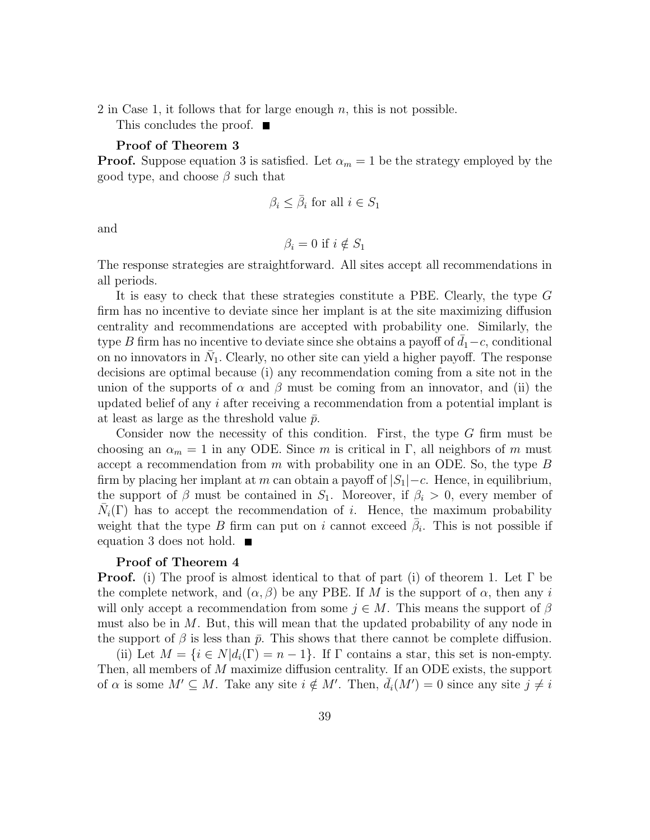2 in Case 1, it follows that for large enough  $n$ , this is not possible.

This concludes the proof.  $\blacksquare$ 

### Proof of Theorem 3

**Proof.** Suppose equation 3 is satisfied. Let  $\alpha_m = 1$  be the strategy employed by the good type, and choose  $\beta$  such that

$$
\beta_i \leq \bar{\beta}_i \text{ for all } i \in S_1
$$

and

$$
\beta_i = 0 \text{ if } i \notin S_1
$$

The response strategies are straightforward. All sites accept all recommendations in all periods.

It is easy to check that these strategies constitute a PBE. Clearly, the type G firm has no incentive to deviate since her implant is at the site maximizing diffusion centrality and recommendations are accepted with probability one. Similarly, the type B firm has no incentive to deviate since she obtains a payoff of  $\bar{d}_1-c$ , conditional on no innovators in  $\bar{N}_1$ . Clearly, no other site can yield a higher payoff. The response decisions are optimal because (i) any recommendation coming from a site not in the union of the supports of  $\alpha$  and  $\beta$  must be coming from an innovator, and (ii) the updated belief of any i after receiving a recommendation from a potential implant is at least as large as the threshold value  $\bar{p}$ .

Consider now the necessity of this condition. First, the type G firm must be choosing an  $\alpha_m = 1$  in any ODE. Since m is critical in Γ, all neighbors of m must accept a recommendation from m with probability one in an ODE. So, the type  $B$ firm by placing her implant at m can obtain a payoff of  $|S_1| - c$ . Hence, in equilibrium, the support of  $\beta$  must be contained in  $S_1$ . Moreover, if  $\beta_i > 0$ , every member of  $\bar{N}_i(\Gamma)$  has to accept the recommendation of i. Hence, the maximum probability weight that the type B firm can put on i cannot exceed  $\bar{\beta}_i$ . This is not possible if equation 3 does not hold.

#### Proof of Theorem 4

**Proof.** (i) The proof is almost identical to that of part (i) of theorem 1. Let  $\Gamma$  be the complete network, and  $(\alpha, \beta)$  be any PBE. If M is the support of  $\alpha$ , then any i will only accept a recommendation from some  $j \in M$ . This means the support of  $\beta$ must also be in  $M$ . But, this will mean that the updated probability of any node in the support of  $\beta$  is less than  $\bar{p}$ . This shows that there cannot be complete diffusion.

(ii) Let  $M = \{i \in N | d_i(\Gamma) = n - 1\}$ . If  $\Gamma$  contains a star, this set is non-empty. Then, all members of M maximize diffusion centrality. If an ODE exists, the support of  $\alpha$  is some  $M' \subseteq M$ . Take any site  $i \notin M'$ . Then,  $\overline{d}_i(M') = 0$  since any site  $j \neq i$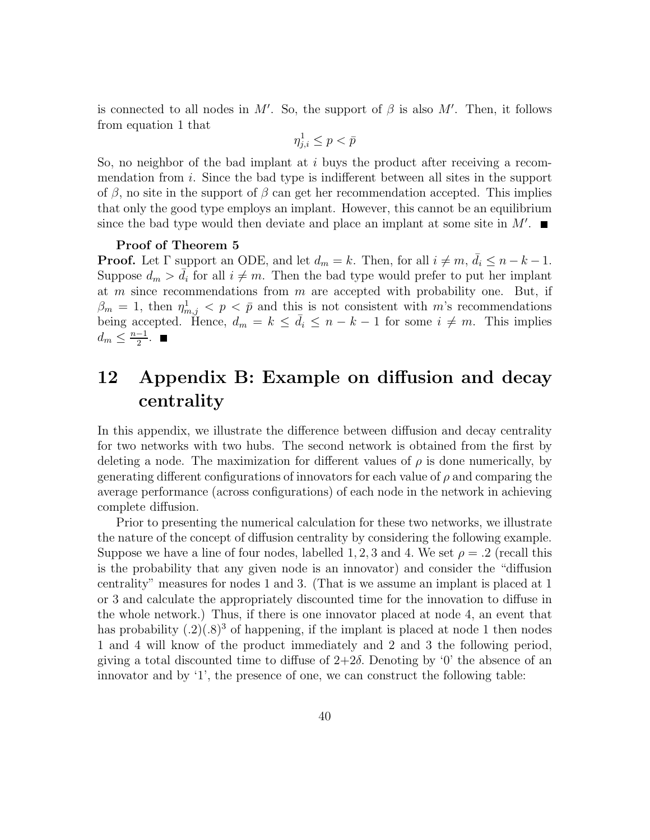is connected to all nodes in  $M'$ . So, the support of  $\beta$  is also  $M'$ . Then, it follows from equation 1 that

$$
\eta_{j,i}^1 \leq p < \bar{p}
$$

So, no neighbor of the bad implant at  $i$  buys the product after receiving a recommendation from i. Since the bad type is indifferent between all sites in the support of  $\beta$ , no site in the support of  $\beta$  can get her recommendation accepted. This implies that only the good type employs an implant. However, this cannot be an equilibrium since the bad type would then deviate and place an implant at some site in  $M'$ .

#### Proof of Theorem 5

**Proof.** Let  $\Gamma$  support an ODE, and let  $d_m = k$ . Then, for all  $i \neq m$ ,  $\bar{d}_i \leq n - k - 1$ . Suppose  $d_m > d_i$  for all  $i \neq m$ . Then the bad type would prefer to put her implant at  $m$  since recommendations from  $m$  are accepted with probability one. But, if  $\beta_m = 1$ , then  $\eta_{m,j}^1 < p \leq \bar{p}$  and this is not consistent with m's recommendations being accepted. Hence,  $d_m = k \le \bar{d}_i \le n - k - 1$  for some  $i \neq m$ . This implies  $d_m \leq \frac{n-1}{2}$  $\frac{-1}{2}$ .

# 12 Appendix B: Example on diffusion and decay centrality

In this appendix, we illustrate the difference between diffusion and decay centrality for two networks with two hubs. The second network is obtained from the first by deleting a node. The maximization for different values of  $\rho$  is done numerically, by generating different configurations of innovators for each value of  $\rho$  and comparing the average performance (across configurations) of each node in the network in achieving complete diffusion.

Prior to presenting the numerical calculation for these two networks, we illustrate the nature of the concept of diffusion centrality by considering the following example. Suppose we have a line of four nodes, labelled 1, 2, 3 and 4. We set  $\rho = .2$  (recall this is the probability that any given node is an innovator) and consider the "diffusion centrality" measures for nodes 1 and 3. (That is we assume an implant is placed at 1 or 3 and calculate the appropriately discounted time for the innovation to diffuse in the whole network.) Thus, if there is one innovator placed at node 4, an event that has probability  $(0.2)(0.8)^3$  of happening, if the implant is placed at node 1 then nodes 1 and 4 will know of the product immediately and 2 and 3 the following period, giving a total discounted time to diffuse of  $2+2\delta$ . Denoting by '0' the absence of an innovator and by '1', the presence of one, we can construct the following table: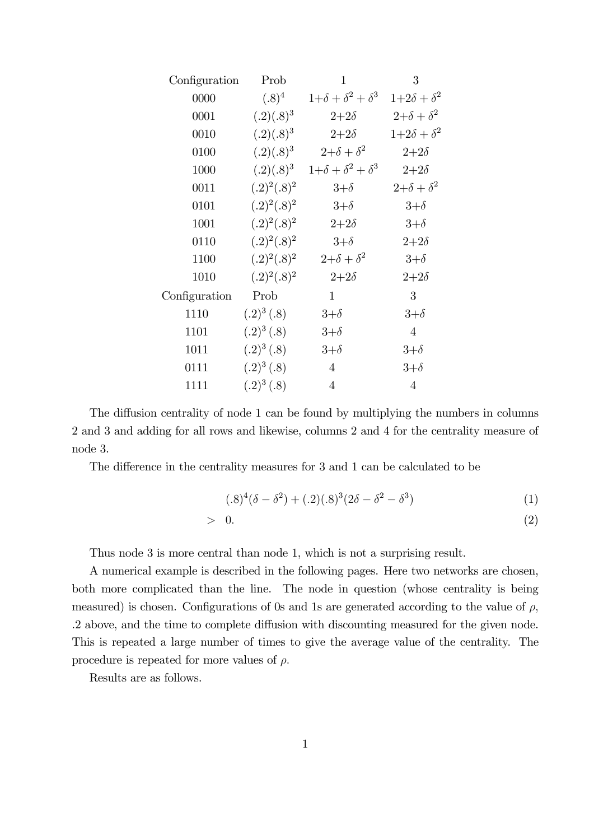| Configuration | Prob           | $\mathbf{1}$                 | 3                    |
|---------------|----------------|------------------------------|----------------------|
| 0000          | $(.8)^4$       | $1+\delta+\delta^2+\delta^3$ | $1+2\delta+\delta^2$ |
| 0001          | $(.2)(.8)^3$   | $2 + 2\delta$                | $2+\delta+\delta^2$  |
| 0010          | $(.2)(.8)^3$   | $2+2\delta$                  | $1+2\delta+\delta^2$ |
| 0100          | $(.2)(.8)^3$   | $2+\delta+\delta^2$          | $2 + 2\delta$        |
| 1000          | $(.2)(.8)^3$   | $1+\delta+\delta^2+\delta^3$ | $2 + 2\delta$        |
| 0011          | $(.2)^2(.8)^2$ | $3+\delta$                   | $2+\delta+\delta^2$  |
| 0101          | $(.2)^2(.8)^2$ | $3+\delta$                   | $3+\delta$           |
| 1001          | $(.2)^2(.8)^2$ | $2+2\delta$                  | $3+\delta$           |
| 0110          | $(.2)^2(.8)^2$ | $3+\delta$                   | $2 + 2\delta$        |
| 1100          | $(.2)^2(.8)^2$ | $2+\delta+\delta^2$          | $3+\delta$           |
| 1010          | $(.2)^2(.8)^2$ | $2+2\delta$                  | $2 + 2\delta$        |
| Configuration | Prob           | $\mathbf{1}$                 | 3                    |
| 1110          | $(.2)^3(.8)$   | $3+\delta$                   | $3+\delta$           |
| 1101          | $(.2)^3(.8)$   | $3+\delta$                   | $\overline{4}$       |
| 1011          | $(.2)^3(.8)$   | $3+\delta$                   | $3+\delta$           |
| 0111          | $(.2)^3(.8)$   | $\overline{4}$               | $3+\delta$           |
| 1111          | $(.2)^3(.8)$   | $\overline{4}$               | $\overline{4}$       |

The diffusion centrality of node 1 can be found by multiplying the numbers in columns 2 and 3 and adding for all rows and likewise, columns 2 and 4 for the centrality measure of node 3.

The difference in the centrality measures for 3 and 1 can be calculated to be

$$
(0.8)^{4}(\delta - \delta^{2}) + (0.2)(0.8)^{3}(2\delta - \delta^{2} - \delta^{3})
$$
\n(1)

$$
> 0. \t\t(2)
$$

Thus node 3 is more central than node 1, which is not a surprising result.

A numerical example is described in the following pages. Here two networks are chosen, both more complicated than the line. The node in question (whose centrality is being measured) is chosen. Configurations of 0s and 1s are generated according to the value of  $\rho$ , .2 above, and the time to complete diffusion with discounting measured for the given node. This is repeated a large number of times to give the average value of the centrality. The procedure is repeated for more values of  $\rho$ .

Results are as follows.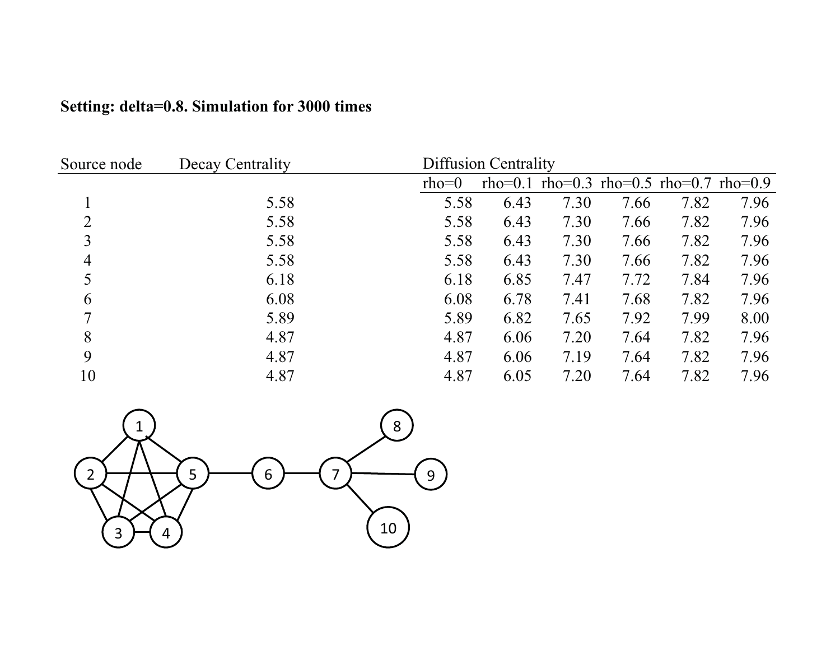| Source node    | Decay Centrality |         | <b>Diffusion Centrality</b> |                                         |      |      |      |
|----------------|------------------|---------|-----------------------------|-----------------------------------------|------|------|------|
|                |                  | $rho=0$ |                             | rho=0.1 rho=0.3 rho=0.5 rho=0.7 rho=0.9 |      |      |      |
|                | 5.58             | 5.58    | 6.43                        | 7.30                                    | 7.66 | 7.82 | 7.96 |
| 2              | 5.58             | 5.58    | 6.43                        | 7.30                                    | 7.66 | 7.82 | 7.96 |
| 3              | 5.58             | 5.58    | 6.43                        | 7.30                                    | 7.66 | 7.82 | 7.96 |
| $\overline{4}$ | 5.58             | 5.58    | 6.43                        | 7.30                                    | 7.66 | 7.82 | 7.96 |
| 5              | 6.18             | 6.18    | 6.85                        | 7.47                                    | 7.72 | 7.84 | 7.96 |
| 6              | 6.08             | 6.08    | 6.78                        | 7.41                                    | 7.68 | 7.82 | 7.96 |
| 7              | 5.89             | 5.89    | 6.82                        | 7.65                                    | 7.92 | 7.99 | 8.00 |
| 8              | 4.87             | 4.87    | 6.06                        | 7.20                                    | 7.64 | 7.82 | 7.96 |
| 9              | 4.87             | 4.87    | 6.06                        | 7.19                                    | 7.64 | 7.82 | 7.96 |
| 10             | 4.87             | 4.87    | 6.05                        | 7.20                                    | 7.64 | 7.82 | 7.96 |

# **Setting: delta=0.8. Simulation for 3000 times**